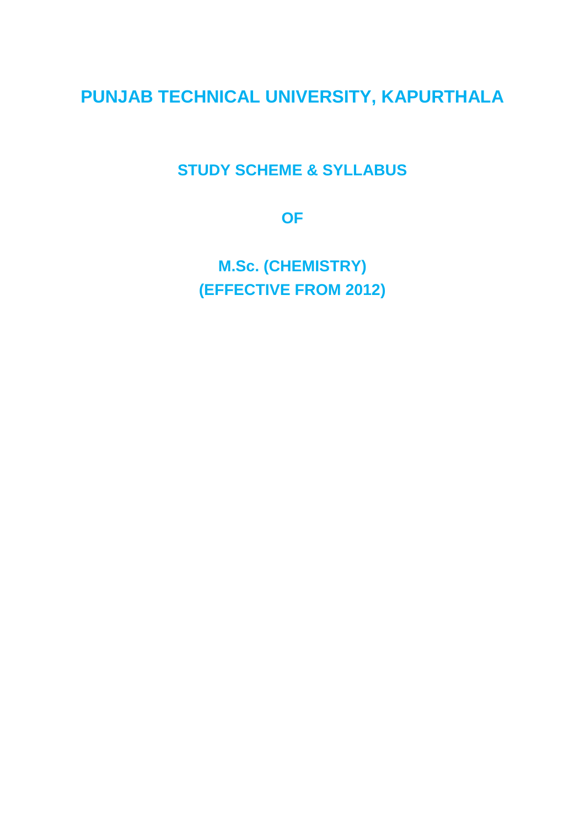# **PUNJAB TECHNICAL UNIVERSITY, KAPURTHALA**

# **STUDY SCHEME & SYLLABUS**

**OF**

**M.Sc. (CHEMISTRY) (EFFECTIVE FROM 2012)**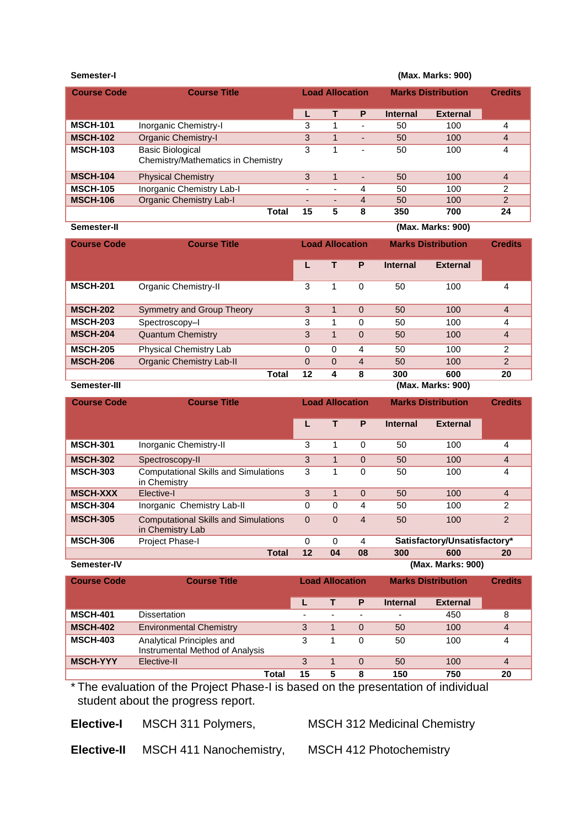```
Semester-I (Max. Marks: 900)
```

| <b>Course Code</b> | <b>Course Title</b>                                           | <b>Load Allocation</b>   |                          | <b>Marks Distribution</b> |                 | <b>Credits</b>  |                |
|--------------------|---------------------------------------------------------------|--------------------------|--------------------------|---------------------------|-----------------|-----------------|----------------|
|                    |                                                               |                          |                          | P                         | <b>Internal</b> | <b>External</b> |                |
| <b>MSCH-101</b>    | Inorganic Chemistry-I                                         | 3                        |                          |                           | 50              | 100             | 4              |
| <b>MSCH-102</b>    | <b>Organic Chemistry-I</b>                                    |                          |                          | $\overline{\phantom{0}}$  | 50              | 100             | 4              |
| <b>MSCH-103</b>    | <b>Basic Biological</b><br>Chemistry/Mathematics in Chemistry |                          |                          | -                         | 50              | 100             | 4              |
| <b>MSCH-104</b>    | <b>Physical Chemistry</b>                                     | 3                        |                          | $\overline{\phantom{a}}$  | 50              | 100             | $\overline{4}$ |
| <b>MSCH-105</b>    | Inorganic Chemistry Lab-I                                     | $\overline{\phantom{0}}$ | $\overline{\phantom{0}}$ | 4                         | 50              | 100             | 2              |
| <b>MSCH-106</b>    | <b>Organic Chemistry Lab-I</b>                                | $\overline{\phantom{0}}$ | $\overline{\phantom{0}}$ | 4                         | 50              | 100             | $\mathcal{P}$  |
|                    | Total                                                         | 15                       | 5                        | 8                         | 350             | 700             | 24             |

| Semester-II |  |
|-------------|--|
|-------------|--|

**(Max. Marks: 900)** 

| <b>Course Code</b> | <b>Course Title</b>             | <b>Load Allocation</b> |          | <b>Marks Distribution</b> |                | <b>Credits</b>  |                 |                |
|--------------------|---------------------------------|------------------------|----------|---------------------------|----------------|-----------------|-----------------|----------------|
|                    |                                 |                        |          |                           | P              | <b>Internal</b> | <b>External</b> |                |
| <b>MSCH-201</b>    | Organic Chemistry-II            |                        | 3        | 1                         | 0              | 50              | 100             | 4              |
| <b>MSCH-202</b>    | Symmetry and Group Theory       |                        | 3        |                           | $\Omega$       | 50              | 100             | $\overline{4}$ |
| <b>MSCH-203</b>    | Spectroscopy-I                  |                        | 3        |                           | $\Omega$       | 50              | 100             | 4              |
| <b>MSCH-204</b>    | <b>Quantum Chemistry</b>        |                        | 3        | 1                         | $\Omega$       | 50              | 100             | $\overline{4}$ |
| <b>MSCH-205</b>    | Physical Chemistry Lab          |                        | 0        | 0                         | 4              | 50              | 100             | 2              |
| <b>MSCH-206</b>    | <b>Organic Chemistry Lab-II</b> |                        | $\Omega$ | $\Omega$                  | $\overline{4}$ | 50              | 100             | $\mathcal{P}$  |
|                    |                                 | Total                  | 12       | 4                         | 8              | 300             | 600             | 20             |

**Semester-III (Max. Marks: 900)**

| <b>Course Code</b> | <b>Course Title</b>                                             |          | <b>Load Allocation</b> |                | <b>Marks Distribution</b>    |                   | <b>Credits</b> |
|--------------------|-----------------------------------------------------------------|----------|------------------------|----------------|------------------------------|-------------------|----------------|
|                    |                                                                 |          |                        | P              | <b>Internal</b>              | <b>External</b>   |                |
| <b>MSCH-301</b>    | Inorganic Chemistry-II                                          | 3        |                        | 0              | 50                           | 100               | 4              |
| <b>MSCH-302</b>    | Spectroscopy-II                                                 |          |                        | $\Omega$       | 50                           | 100               | $\overline{4}$ |
| <b>MSCH-303</b>    | <b>Computational Skills and Simulations</b><br>in Chemistry     |          |                        | $\Omega$       | 50                           | 100               | 4              |
| <b>MSCH-XXX</b>    | Elective-I                                                      | 3        | 1                      | $\Omega$       | 50                           | 100               | $\overline{4}$ |
| <b>MSCH-304</b>    | Inorganic Chemistry Lab-II                                      | 0        | $\Omega$               | 4              | 50                           | 100               | 2              |
| <b>MSCH-305</b>    | <b>Computational Skills and Simulations</b><br>in Chemistry Lab | $\Omega$ | $\Omega$               | $\overline{4}$ | 50                           | 100               | 2              |
| <b>MSCH-306</b>    | Project Phase-I                                                 | $\Omega$ | 0                      | 4              | Satisfactory/Unsatisfactory* |                   |                |
|                    | <b>Total</b>                                                    | $12 \,$  | 04                     | 08             | 300                          | 600               | 20             |
| Semester-IV        |                                                                 |          |                        |                |                              | (Max. Marks: 900) |                |

| <b>Course Code</b> | <b>Course Title</b>                                          |    | <b>Load Allocation</b> |                          |                 | <b>Marks Distribution</b> |    |
|--------------------|--------------------------------------------------------------|----|------------------------|--------------------------|-----------------|---------------------------|----|
|                    |                                                              |    |                        | P                        | <b>Internal</b> | <b>External</b>           |    |
| <b>MSCH-401</b>    | <b>Dissertation</b>                                          | ۰  |                        | $\overline{\phantom{0}}$ |                 | 450                       | 8  |
| <b>MSCH-402</b>    | <b>Environmental Chemistry</b>                               | 3  |                        | $\Omega$                 | 50              | 100                       | 4  |
| <b>MSCH-403</b>    | Analytical Principles and<br>Instrumental Method of Analysis | 3  |                        | 0                        | 50              | 100                       | 4  |
| <b>MSCH-YYY</b>    | Elective-II                                                  | 3  |                        | 0                        | 50              | 100                       | 4  |
|                    | Total                                                        | 15 | 5                      | 8                        | 150             | 750                       | 20 |

\* The evaluation of the Project Phase-I is based on the presentation of individual student about the progress report.

**Elective-I** MSCH 311 Polymers, MSCH 312 Medicinal Chemistry

**Elective-II** MSCH 411 Nanochemistry, MSCH 412 Photochemistry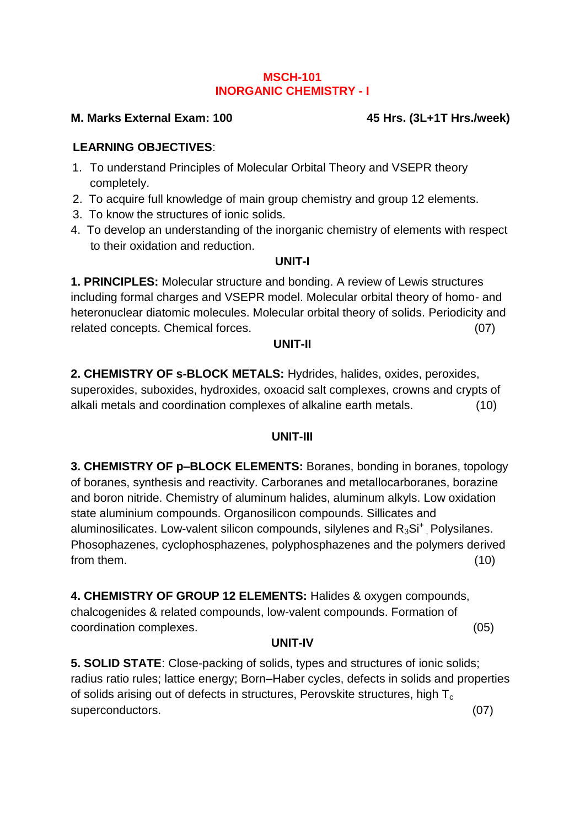#### **MSCH-101 INORGANIC CHEMISTRY - I**

#### **M. Marks External Exam: 100 45 Hrs. (3L+1T Hrs./week)**

#### **LEARNING OBJECTIVES**:

- 1. To understand Principles of Molecular Orbital Theory and VSEPR theory completely.
- 2. To acquire full knowledge of main group chemistry and group 12 elements.
- 3. To know the structures of ionic solids.
- 4. To develop an understanding of the inorganic chemistry of elements with respect to their oxidation and reduction.

#### **UNIT-I**

**1. PRINCIPLES:** Molecular structure and bonding. A review of Lewis structures including formal charges and VSEPR model. Molecular orbital theory of homo- and heteronuclear diatomic molecules. Molecular orbital theory of solids. Periodicity and related concepts. Chemical forces. (07)

#### **UNIT-II**

**2. CHEMISTRY OF s-BLOCK METALS:** Hydrides, halides, oxides, peroxides, superoxides, suboxides, hydroxides, oxoacid salt complexes, crowns and crypts of alkali metals and coordination complexes of alkaline earth metals. (10)

#### **UNIT-III**

**3. CHEMISTRY OF p–BLOCK ELEMENTS:** Boranes, bonding in boranes, topology of boranes, synthesis and reactivity. Carboranes and metallocarboranes, borazine and boron nitride. Chemistry of aluminum halides, aluminum alkyls. Low oxidation state aluminium compounds. Organosilicon compounds. Sillicates and aluminosilicates. Low-valent silicon compounds, silylenes and  $R_3Si<sup>+</sup>$ , Polysilanes. Phosophazenes, cyclophosphazenes, polyphosphazenes and the polymers derived from them. (10)

**4. CHEMISTRY OF GROUP 12 ELEMENTS:** Halides & oxygen compounds, chalcogenides & related compounds, low-valent compounds. Formation of coordination complexes.(05)

#### **UNIT-IV**

**5. SOLID STATE**: Close-packing of solids, types and structures of ionic solids; radius ratio rules; lattice energy; Born–Haber cycles, defects in solids and properties of solids arising out of defects in structures, Perovskite structures, high  $T_c$ superconductors. (07)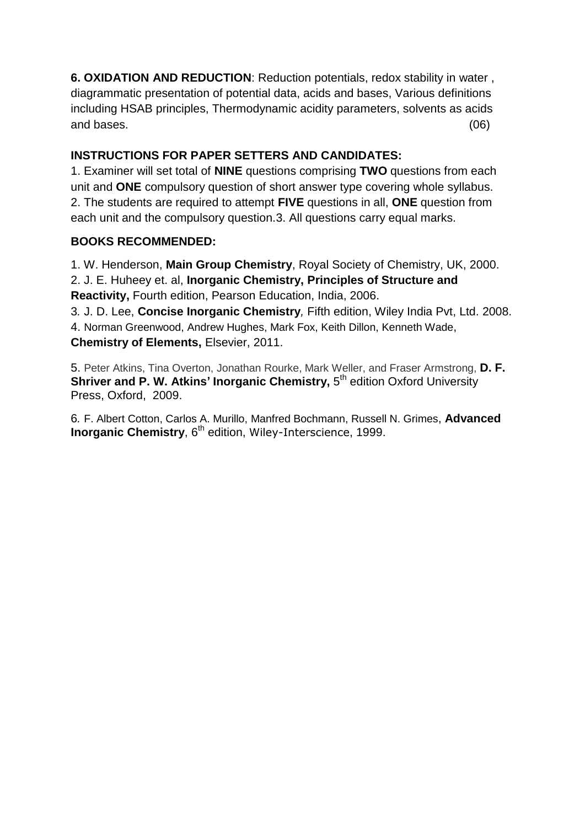**6. OXIDATION AND REDUCTION**: Reduction potentials, redox stability in water , diagrammatic presentation of potential data, acids and bases, Various definitions including HSAB principles, Thermodynamic acidity parameters, solvents as acids and bases. (06)

#### **INSTRUCTIONS FOR PAPER SETTERS AND CANDIDATES:**

1. Examiner will set total of **NINE** questions comprising **TWO** questions from each unit and **ONE** compulsory question of short answer type covering whole syllabus. 2. The students are required to attempt **FIVE** questions in all, **ONE** question from each unit and the compulsory question.3. All questions carry equal marks.

### **BOOKS RECOMMENDED:**

1. W. Henderson, **Main Group Chemistry**, Royal Society of Chemistry, UK, 2000. 2. J. E. Huheey et. al, **Inorganic Chemistry, Principles of Structure and Reactivity,** Fourth edition, Pearson Education, India, 2006.

3*.* J. D. Lee, **Concise Inorganic Chemistry***,* Fifth edition, Wiley India Pvt, Ltd. 2008. 4. [Norman Greenwood,](http://www.amazon.com/s/ref=ntt_athr_dp_sr_1?_encoding=UTF8&field-author=Norman%20Greenwood&search-alias=books&sort=relevancerank) [Andrew Hughes,](http://www.amazon.com/s/ref=ntt_athr_dp_sr_2?_encoding=UTF8&field-author=Andrew%20Hughes&search-alias=books&sort=relevancerank) [Mark Fox,](http://www.amazon.com/s/ref=ntt_athr_dp_sr_3?_encoding=UTF8&field-author=Mark%20Fox&search-alias=books&sort=relevancerank) [Keith Dillon,](http://www.amazon.com/s/ref=ntt_athr_dp_sr_4?_encoding=UTF8&field-author=Keith%20Dillon&search-alias=books&sort=relevancerank) [Kenneth Wade](http://www.amazon.com/s/ref=ntt_athr_dp_sr_5?_encoding=UTF8&field-author=Kenneth%20Wade&search-alias=books&sort=relevancerank), **Chemistry of Elements,** Elsevier, 2011.

5. Peter Atkins, Tina Overton, Jonathan Rourke, Mark Weller, and Fraser Armstrong, **D. F. Shriver and P. W. Atkins' Inorganic Chemistry, 5<sup>th</sup> edition Oxford University** Press, Oxford, 2009.

6*.* [F. Albert Cotton,](http://www.amazon.com/F.-Albert-Cotton/e/B001IR1HU6/ref=ntt_athr_dp_pel_1) [Carlos A. Murillo,](http://www.amazon.com/s/ref=ntt_athr_dp_sr_2?_encoding=UTF8&field-author=Carlos%20A.%20Murillo&search-alias=books&sort=relevancerank) [Manfred Bochmann,](http://www.amazon.com/s/ref=ntt_athr_dp_sr_3?_encoding=UTF8&field-author=Manfred%20Bochmann&search-alias=books&sort=relevancerank) [Russell N. Grimes](http://www.amazon.com/s/ref=ntt_athr_dp_sr_4?_encoding=UTF8&field-author=Russell%20N.%20Grimes&search-alias=books&sort=relevancerank), **Advanced Inorganic Chemistry, 6<sup>th</sup> edition, Wiley-Interscience, 1999.**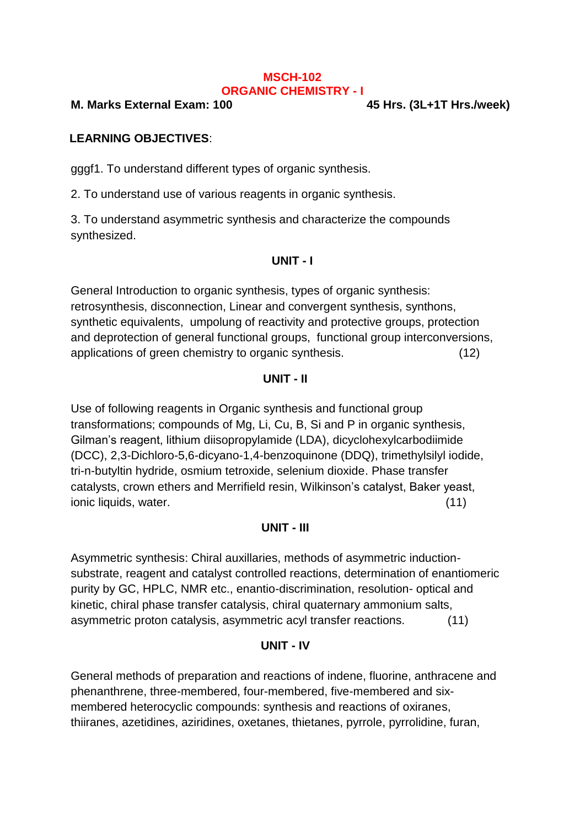#### **MSCH-102 ORGANIC CHEMISTRY - I**

**M. Marks External Exam: 100 45 Hrs. (3L+1T Hrs./week)**

## **LEARNING OBJECTIVES**:

gggf1. To understand different types of organic synthesis.

2. To understand use of various reagents in organic synthesis.

3. To understand asymmetric synthesis and characterize the compounds synthesized.

### **UNIT - I**

General Introduction to organic synthesis, types of organic synthesis: retrosynthesis, disconnection, Linear and convergent synthesis, synthons, synthetic equivalents, umpolung of reactivity and protective groups, protection and deprotection of general functional groups, functional group interconversions, applications of green chemistry to organic synthesis. (12)

### **UNIT - II**

Use of following reagents in Organic synthesis and functional group transformations; compounds of Mg, Li, Cu, B, Si and P in organic synthesis, Gilman's reagent, lithium diisopropylamide (LDA), dicyclohexylcarbodiimide (DCC), 2,3-Dichloro-5,6-dicyano-1,4-benzoquinone (DDQ), trimethylsilyl iodide, tri-n-butyltin hydride, osmium tetroxide, selenium dioxide. Phase transfer catalysts, crown ethers and Merrifield resin, Wilkinson's catalyst, Baker yeast, ionic liquids, water. (11)

## **UNIT - III**

Asymmetric synthesis: Chiral auxillaries, methods of asymmetric inductionsubstrate, reagent and catalyst controlled reactions, determination of enantiomeric purity by GC, HPLC, NMR etc., enantio-discrimination, resolution- optical and kinetic, chiral phase transfer catalysis, chiral quaternary ammonium salts, asymmetric proton catalysis, asymmetric acyl transfer reactions. (11)

## **UNIT - IV**

General methods of preparation and reactions of indene, fluorine, anthracene and phenanthrene, three-membered, four-membered, five-membered and sixmembered heterocyclic compounds: synthesis and reactions of oxiranes, thiiranes, azetidines, aziridines, oxetanes, thietanes, pyrrole, pyrrolidine, furan,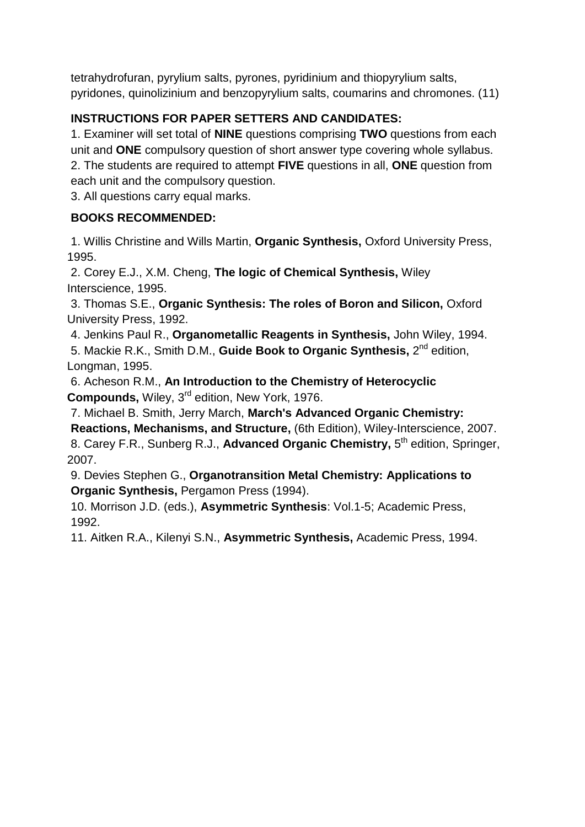tetrahydrofuran, pyrylium salts, pyrones, pyridinium and thiopyrylium salts, pyridones, quinolizinium and benzopyrylium salts, coumarins and chromones. (11)

## **INSTRUCTIONS FOR PAPER SETTERS AND CANDIDATES:**

1. Examiner will set total of **NINE** questions comprising **TWO** questions from each unit and **ONE** compulsory question of short answer type covering whole syllabus. 2. The students are required to attempt **FIVE** questions in all, **ONE** question from each unit and the compulsory question.

3. All questions carry equal marks.

## **BOOKS RECOMMENDED:**

1. Willis Christine and Wills Martin, **Organic Synthesis,** Oxford University Press, 1995.

2. Corey E.J., X.M. Cheng, **The logic of Chemical Synthesis,** Wiley Interscience, 1995.

3. Thomas S.E., **Organic Synthesis: The roles of Boron and Silicon,** Oxford University Press, 1992.

4. Jenkins Paul R., **Organometallic Reagents in Synthesis,** John Wiley, 1994. 5. Mackie R.K., Smith D.M., **Guide Book to Organic Synthesis,** 2 nd edition, Longman, 1995.

6. Acheson R.M., **An Introduction to the Chemistry of Heterocyclic Compounds,** Wiley, 3rd edition, New York, 1976.

7. Michael B. Smith, Jerry March, **March's Advanced Organic Chemistry:** 

**Reactions, Mechanisms, and Structure,** (6th Edition), Wiley-Interscience, 2007. 8. Carey F.R., Sunberg R.J., Advanced Organic Chemistry, 5<sup>th</sup> edition, Springer, 2007.

9. Devies Stephen G., **Organotransition Metal Chemistry: Applications to Organic Synthesis,** Pergamon Press (1994).

10. Morrison J.D. (eds.), **Asymmetric Synthesis**: Vol.1-5; Academic Press, 1992.

11. Aitken R.A., Kilenyi S.N., **Asymmetric Synthesis,** Academic Press, 1994.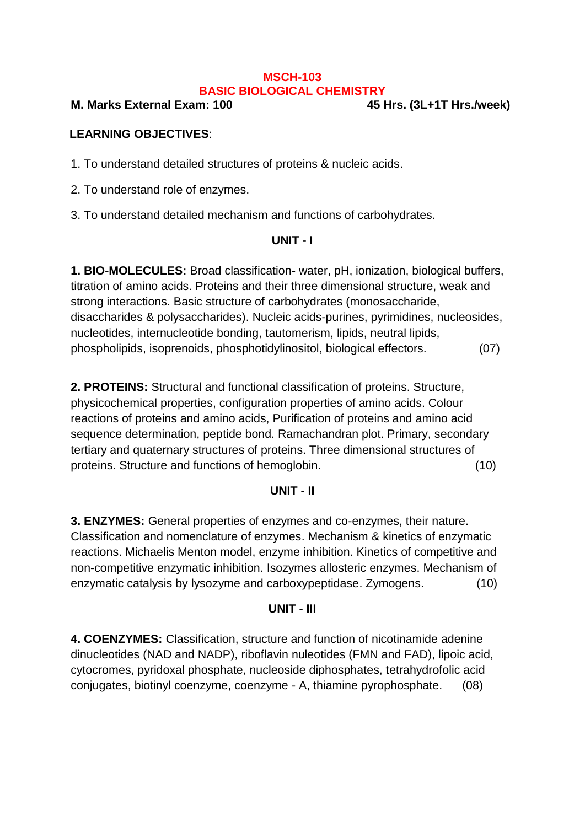#### **MSCH-103 BASIC BIOLOGICAL CHEMISTRY**

#### **M. Marks External Exam: 100 45 Hrs. (3L+1T Hrs./week)**

#### **LEARNING OBJECTIVES**:

1. To understand detailed structures of proteins & nucleic acids.

2. To understand role of enzymes.

3. To understand detailed mechanism and functions of carbohydrates.

#### **UNIT - I**

**1. BIO-MOLECULES:** Broad classification- water, pH, ionization, biological buffers, titration of amino acids. Proteins and their three dimensional structure, weak and strong interactions. Basic structure of carbohydrates (monosaccharide, disaccharides & polysaccharides). Nucleic acids-purines, pyrimidines, nucleosides, nucleotides, internucleotide bonding, tautomerism, lipids, neutral lipids, phospholipids, isoprenoids, phosphotidylinositol, biological effectors. (07)

**2. PROTEINS:** Structural and functional classification of proteins. Structure, physicochemical properties, configuration properties of amino acids. Colour reactions of proteins and amino acids, Purification of proteins and amino acid sequence determination, peptide bond. Ramachandran plot. Primary, secondary tertiary and quaternary structures of proteins. Three dimensional structures of proteins. Structure and functions of hemoglobin. (10)

#### **UNIT - II**

**3. ENZYMES:** General properties of enzymes and co-enzymes, their nature. Classification and nomenclature of enzymes. Mechanism & kinetics of enzymatic reactions. Michaelis Menton model, enzyme inhibition. Kinetics of competitive and non-competitive enzymatic inhibition. Isozymes allosteric enzymes. Mechanism of enzymatic catalysis by lysozyme and carboxypeptidase. Zymogens. (10)

#### **UNIT - III**

**4. COENZYMES:** Classification, structure and function of nicotinamide adenine dinucleotides (NAD and NADP), riboflavin nuleotides (FMN and FAD), lipoic acid, cytocromes, pyridoxal phosphate, nucleoside diphosphates, tetrahydrofolic acid conjugates, biotinyl coenzyme, coenzyme - A, thiamine pyrophosphate. (08)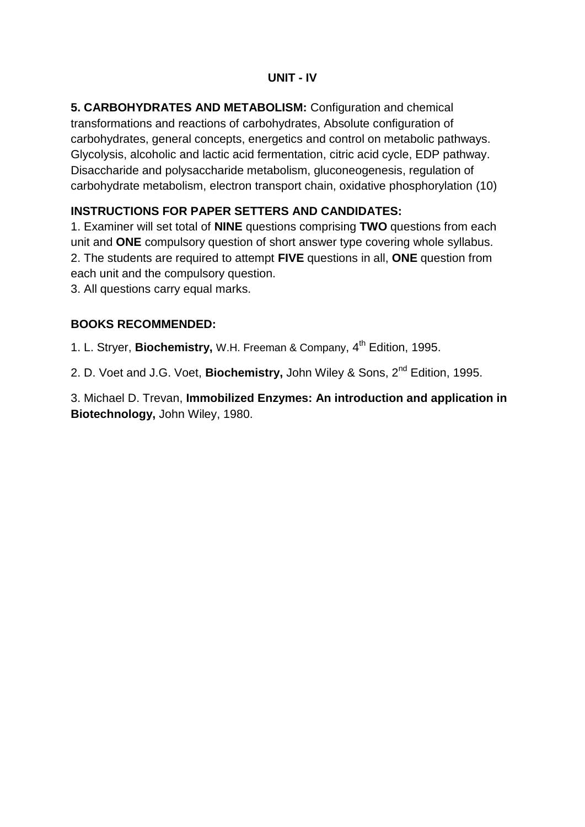#### **UNIT - IV**

**5. CARBOHYDRATES AND METABOLISM:** Configuration and chemical transformations and reactions of carbohydrates, Absolute configuration of carbohydrates, general concepts, energetics and control on metabolic pathways. Glycolysis, alcoholic and lactic acid fermentation, citric acid cycle, EDP pathway. Disaccharide and polysaccharide metabolism, gluconeogenesis, regulation of carbohydrate metabolism, electron transport chain, oxidative phosphorylation (10)

## **INSTRUCTIONS FOR PAPER SETTERS AND CANDIDATES:**

1. Examiner will set total of **NINE** questions comprising **TWO** questions from each unit and **ONE** compulsory question of short answer type covering whole syllabus. 2. The students are required to attempt **FIVE** questions in all, **ONE** question from each unit and the compulsory question.

3. All questions carry equal marks.

### **BOOKS RECOMMENDED:**

1. L. Stryer, **Biochemistry,** W.H. Freeman & Company, 4<sup>th</sup> Edition, 1995.

2. D. Voet and J.G. Voet, **Biochemistry,** John Wiley & Sons, 2nd Edition, 1995.

3. Michael D. Trevan, **Immobilized Enzymes: An introduction and application in Biotechnology,** John Wiley, 1980.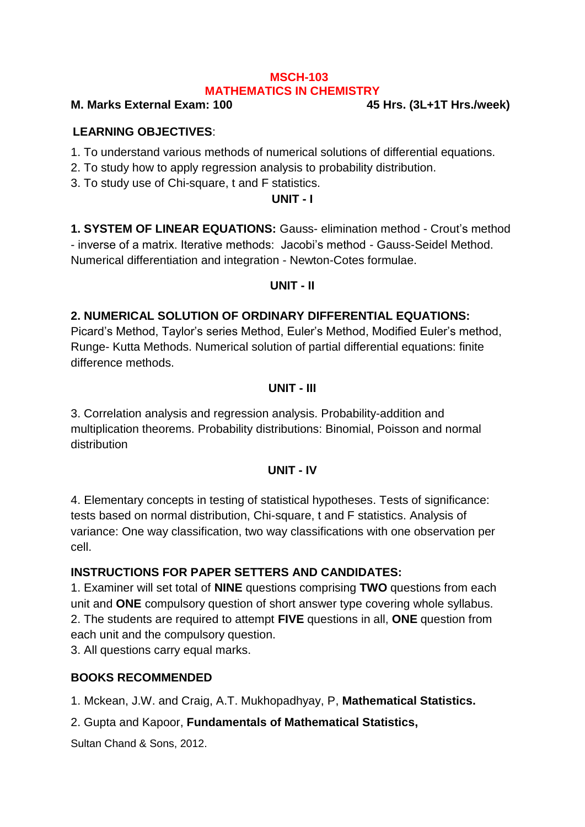#### **MSCH-103 MATHEMATICS IN CHEMISTRY**

#### **M. Marks External Exam: 100 45 Hrs. (3L+1T Hrs./week)**

#### **LEARNING OBJECTIVES**:

- 1. To understand various methods of numerical solutions of differential equations.
- 2. To study how to apply regression analysis to probability distribution.
- 3. To study use of Chi-square, t and F statistics.

#### **UNIT - I**

**1. SYSTEM OF LINEAR EQUATIONS:** Gauss- elimination method - Crout's method - inverse of a matrix. Iterative methods: Jacobi's method - Gauss-Seidel Method. Numerical differentiation and integration - Newton-Cotes formulae.

#### **UNIT - II**

#### **2. NUMERICAL SOLUTION OF ORDINARY DIFFERENTIAL EQUATIONS:**

Picard's Method, Taylor's series Method, Euler's Method, Modified Euler's method, Runge- Kutta Methods. Numerical solution of partial differential equations: finite difference methods.

#### **UNIT - III**

3. Correlation analysis and regression analysis. Probability-addition and multiplication theorems. Probability distributions: Binomial, Poisson and normal distribution

#### **UNIT - IV**

4. Elementary concepts in testing of statistical hypotheses. Tests of significance: tests based on normal distribution, Chi-square, t and F statistics. Analysis of variance: One way classification, two way classifications with one observation per cell.

#### **INSTRUCTIONS FOR PAPER SETTERS AND CANDIDATES:**

1. Examiner will set total of **NINE** questions comprising **TWO** questions from each unit and **ONE** compulsory question of short answer type covering whole syllabus. 2. The students are required to attempt **FIVE** questions in all, **ONE** question from each unit and the compulsory question. 3. All questions carry equal marks.

#### **BOOKS RECOMMENDED**

1. Mckean, J.W. and Craig, A.T. Mukhopadhyay, P, **Mathematical Statistics.**

#### 2. Gupta and Kapoor, **Fundamentals of Mathematical Statistics,**

[Sultan Chand & Sons,](http://www.sapnaonline.com/index.php?option=com_search&filter=books&field=publisher&q=sultan+chand+and+sons+tb) 2012.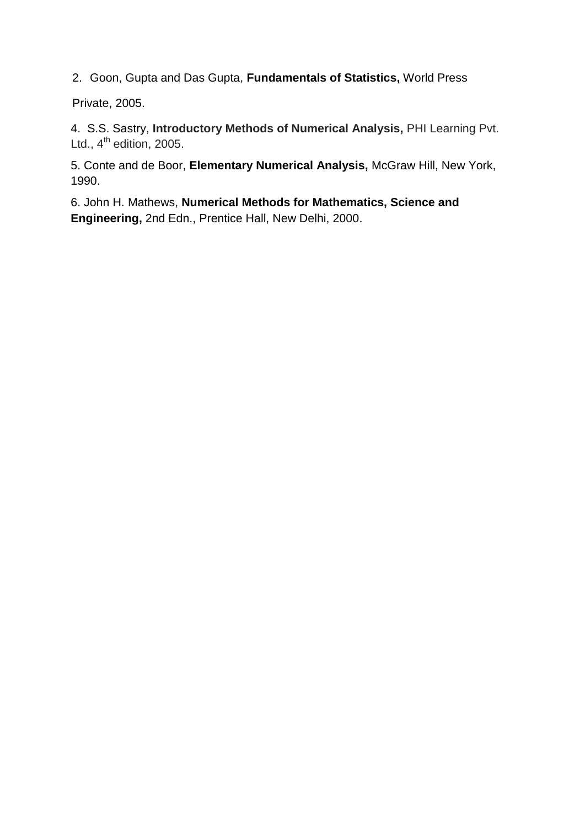2. Goon, Gupta and Das Gupta, **Fundamentals of Statistics,** World Press

Private, 2005.

4.S.S. Sastry, **Introductory Methods of Numerical Analysis,** PHI Learning Pvt. Ltd.,  $4^{\text{th}}$  edition, 2005.

5. Conte and de Boor, **Elementary Numerical Analysis,** McGraw Hill, New York, 1990.

6. John H. Mathews, **Numerical Methods for Mathematics, Science and Engineering,** 2nd Edn., Prentice Hall, New Delhi, 2000.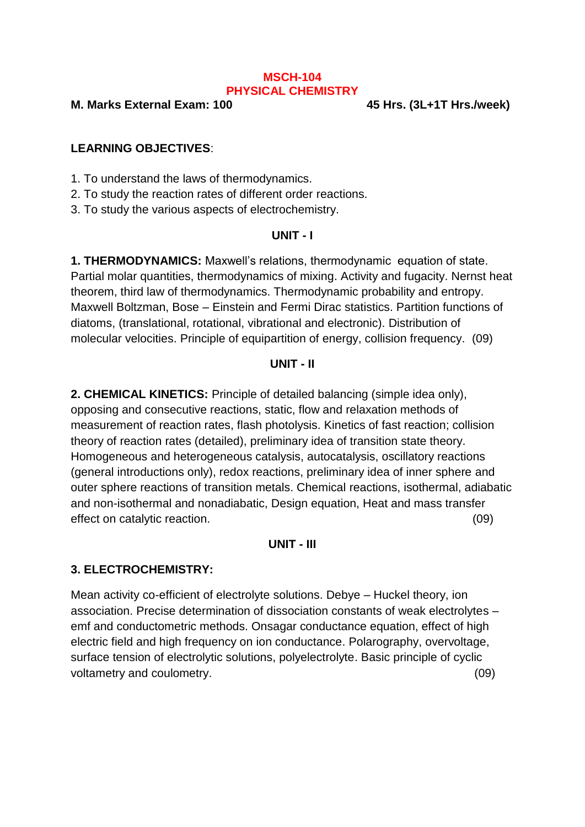#### **MSCH-104 PHYSICAL CHEMISTRY**

**M. Marks External Exam: 100 45 Hrs. (3L+1T Hrs./week)**

#### **LEARNING OBJECTIVES**:

1. To understand the laws of thermodynamics.

2. To study the reaction rates of different order reactions.

3. To study the various aspects of electrochemistry.

#### **UNIT - I**

**1. THERMODYNAMICS:** Maxwell's relations, thermodynamic equation of state. Partial molar quantities, thermodynamics of mixing. Activity and fugacity. Nernst heat theorem, third law of thermodynamics. Thermodynamic probability and entropy. Maxwell Boltzman, Bose – Einstein and Fermi Dirac statistics. Partition functions of diatoms, (translational, rotational, vibrational and electronic). Distribution of molecular velocities. Principle of equipartition of energy, collision frequency. (09)

#### **UNIT - II**

**2. CHEMICAL KINETICS:** Principle of detailed balancing (simple idea only), opposing and consecutive reactions, static, flow and relaxation methods of measurement of reaction rates, flash photolysis. Kinetics of fast reaction; collision theory of reaction rates (detailed), preliminary idea of transition state theory. Homogeneous and heterogeneous catalysis, autocatalysis, oscillatory reactions (general introductions only), redox reactions, preliminary idea of inner sphere and outer sphere reactions of transition metals. Chemical reactions, isothermal, adiabatic and non-isothermal and nonadiabatic, Design equation, Heat and mass transfer effect on catalytic reaction. (09)

#### **UNIT - III**

#### **3. ELECTROCHEMISTRY:**

Mean activity co-efficient of electrolyte solutions. Debye – Huckel theory, ion association. Precise determination of dissociation constants of weak electrolytes – emf and conductometric methods. Onsagar conductance equation, effect of high electric field and high frequency on ion conductance. Polarography, overvoltage, surface tension of electrolytic solutions, polyelectrolyte. Basic principle of cyclic voltametry and coulometry. (09)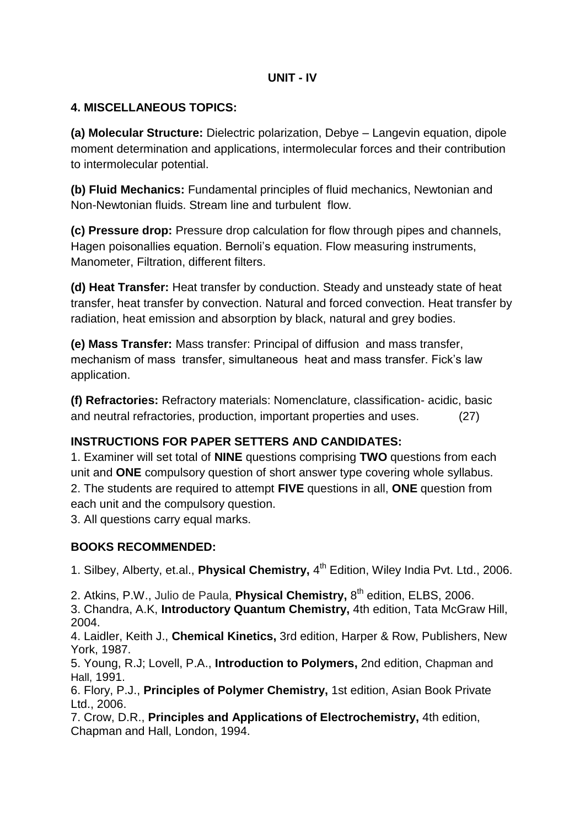#### **UNIT - IV**

### **4. MISCELLANEOUS TOPICS:**

**(a) Molecular Structure:** Dielectric polarization, Debye – Langevin equation, dipole moment determination and applications, intermolecular forces and their contribution to intermolecular potential.

**(b) Fluid Mechanics:** Fundamental principles of fluid mechanics, Newtonian and Non-Newtonian fluids. Stream line and turbulent flow.

**(c) Pressure drop:** Pressure drop calculation for flow through pipes and channels, Hagen poisonallies equation. Bernoli's equation. Flow measuring instruments, Manometer, Filtration, different filters.

**(d) Heat Transfer:** Heat transfer by conduction. Steady and unsteady state of heat transfer, heat transfer by convection. Natural and forced convection. Heat transfer by radiation, heat emission and absorption by black, natural and grey bodies.

**(e) Mass Transfer:** Mass transfer: Principal of diffusion and mass transfer, mechanism of mass transfer, simultaneous heat and mass transfer. Fick's law application.

**(f) Refractories:** Refractory materials: Nomenclature, classification- acidic, basic and neutral refractories, production, important properties and uses. (27)

## **INSTRUCTIONS FOR PAPER SETTERS AND CANDIDATES:**

1. Examiner will set total of **NINE** questions comprising **TWO** questions from each unit and **ONE** compulsory question of short answer type covering whole syllabus. 2. The students are required to attempt **FIVE** questions in all, **ONE** question from each unit and the compulsory question.

3. All questions carry equal marks.

## **BOOKS RECOMMENDED:**

1. Silbey, Alberty, et.al., **Physical Chemistry,** 4<sup>th</sup> Edition, Wiley India Pvt. Ltd., 2006.

2. Atkins, P.W., Julio de Paula, Physical Chemistry, 8<sup>th</sup> edition, ELBS, 2006.

3. Chandra, A.K, **Introductory Quantum Chemistry,** 4th edition, Tata McGraw Hill, 2004.

4. Laidler, Keith J., **Chemical Kinetics,** 3rd edition, Harper & Row, Publishers, New York, 1987.

5. Young, R.J; Lovell, P.A., **Introduction to Polymers,** 2nd edition, Chapman and Hall, 1991.

6. Flory, P.J., **Principles of Polymer Chemistry,** 1st edition, Asian Book Private Ltd., 2006.

7. Crow, D.R., **Principles and Applications of Electrochemistry,** 4th edition, Chapman and Hall, London, 1994.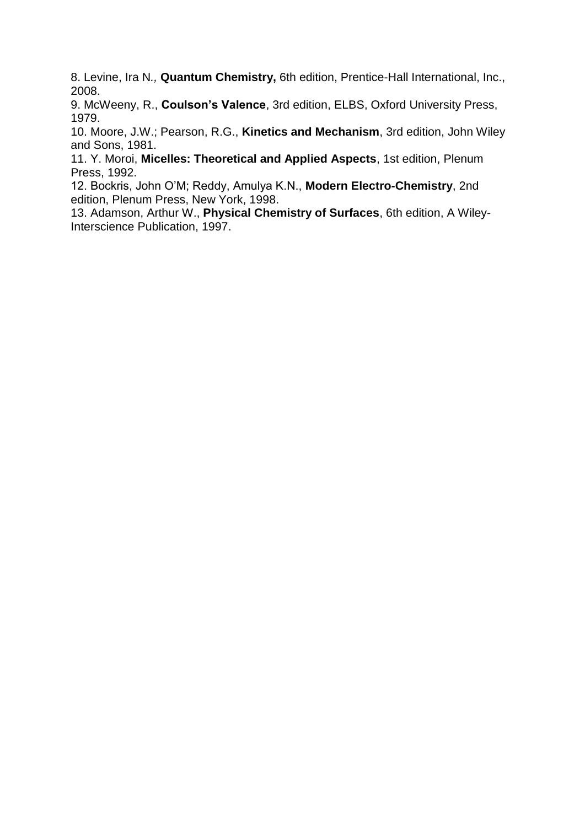8. Levine, Ira N*.,* **Quantum Chemistry,** 6th edition, Prentice-Hall International, Inc., 2008.

9. McWeeny, R., **Coulson's Valence**, 3rd edition, ELBS, Oxford University Press, 1979.

10. Moore, J.W.; Pearson, R.G., **Kinetics and Mechanism**, 3rd edition, John Wiley and Sons, 1981.

11. Y. Moroi, **Micelles: Theoretical and Applied Aspects**, 1st edition, Plenum Press, 1992.

12. Bockris, John O'M; Reddy, Amulya K.N., **Modern Electro-Chemistry**, 2nd edition, Plenum Press, New York, 1998.

13. Adamson, Arthur W., **Physical Chemistry of Surfaces**, 6th edition, A Wiley-Interscience Publication, 1997.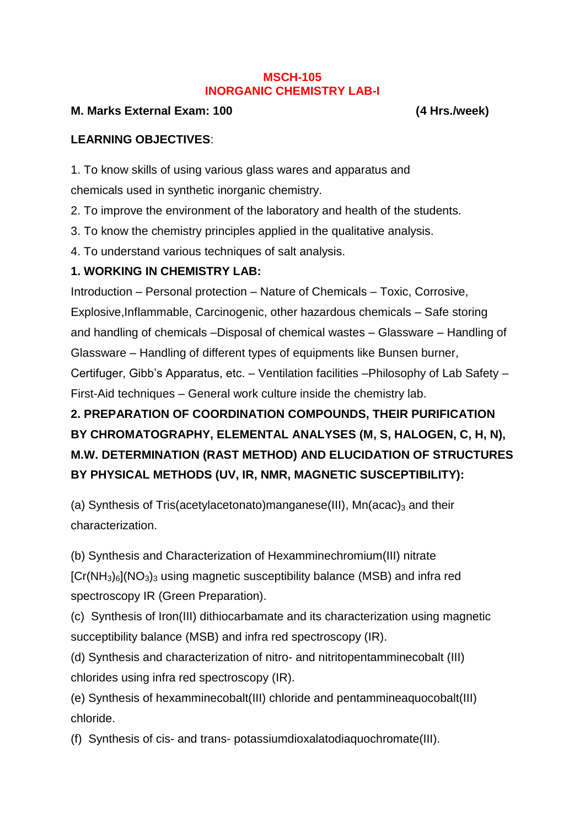#### **MSCH-105 INORGANIC CHEMISTRY LAB-I**

#### **M. Marks External Exam: 100 (4 Hrs./week)**

### **LEARNING OBJECTIVES**:

1. To know skills of using various glass wares and apparatus and chemicals used in synthetic inorganic chemistry.

2. To improve the environment of the laboratory and health of the students.

3. To know the chemistry principles applied in the qualitative analysis.

4. To understand various techniques of salt analysis.

## **1. WORKING IN CHEMISTRY LAB:**

Introduction – Personal protection – Nature of Chemicals – Toxic, Corrosive, Explosive,Inflammable, Carcinogenic, other hazardous chemicals – Safe storing and handling of chemicals –Disposal of chemical wastes – Glassware – Handling of Glassware – Handling of different types of equipments like Bunsen burner, Certifuger, Gibb's Apparatus, etc. – Ventilation facilities –Philosophy of Lab Safety – First-Aid techniques – General work culture inside the chemistry lab.

# **2. PREPARATION OF COORDINATION COMPOUNDS, THEIR PURIFICATION BY CHROMATOGRAPHY, ELEMENTAL ANALYSES (M, S, HALOGEN, C, H, N), M.W. DETERMINATION (RAST METHOD) AND ELUCIDATION OF STRUCTURES BY PHYSICAL METHODS (UV, IR, NMR, MAGNETIC SUSCEPTIBILITY):**

(a) Synthesis of Tris(acetylacetonato)manganese(III),  $Mn(acac)<sub>3</sub>$  and their characterization.

(b) Synthesis and Characterization of Hexamminechromium(III) nitrate  $[Cr(NH<sub>3</sub>)<sub>6</sub>](NO<sub>3</sub>)<sub>3</sub>$  using magnetic susceptibility balance (MSB) and infra red spectroscopy IR (Green Preparation).

(c) Synthesis of Iron(III) dithiocarbamate and its characterization using magnetic succeptibility balance (MSB) and infra red spectroscopy (IR).

(d) Synthesis and characterization of nitro- and nitritopentamminecobalt (III) chlorides using infra red spectroscopy (IR).

(e) Synthesis of hexamminecobalt(III) chloride and pentammineaquocobalt(III) chloride.

(f) Synthesis of cis- and trans- potassiumdioxalatodiaquochromate(III).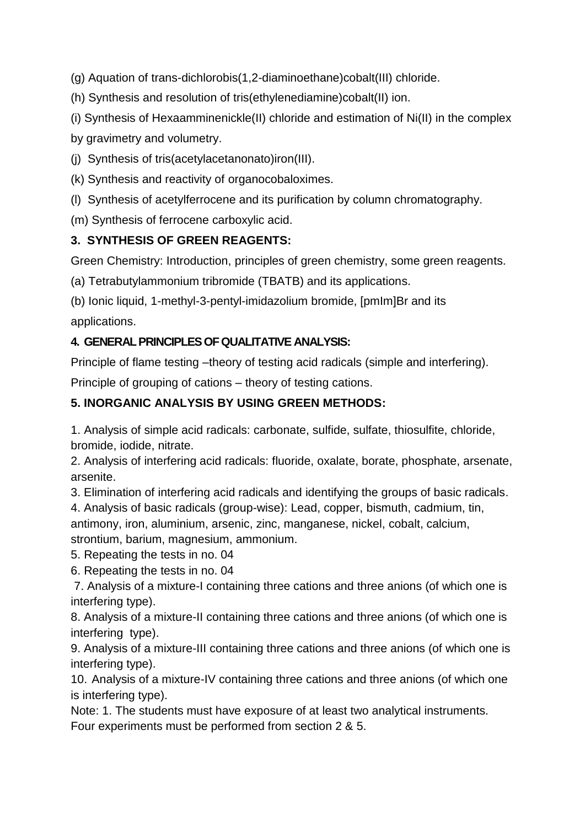(g) Aquation of trans-dichlorobis(1,2-diaminoethane)cobalt(III) chloride.

(h) Synthesis and resolution of tris(ethylenediamine)cobalt(II) ion.

(i) Synthesis of Hexaamminenickle(II) chloride and estimation of Ni(II) in the complex

by gravimetry and volumetry.

(j) Synthesis of tris(acetylacetanonato)iron(III).

(k) Synthesis and reactivity of organocobaloximes.

(l) Synthesis of acetylferrocene and its purification by column chromatography.

(m) Synthesis of ferrocene carboxylic acid.

## **3. SYNTHESIS OF GREEN REAGENTS:**

Green Chemistry: Introduction, principles of green chemistry, some green reagents.

(a) Tetrabutylammonium tribromide (TBATB) and its applications.

(b) Ionic liquid, 1-methyl-3-pentyl-imidazolium bromide, [pmIm]Br and its applications.

## **4. GENERAL PRINCIPLES OF QUALITATIVE ANALYSIS:**

Principle of flame testing –theory of testing acid radicals (simple and interfering).

Principle of grouping of cations – theory of testing cations.

## **5. INORGANIC ANALYSIS BY USING GREEN METHODS:**

1. Analysis of simple acid radicals: carbonate, sulfide, sulfate, thiosulfite, chloride, bromide, iodide, nitrate.

2. Analysis of interfering acid radicals: fluoride, oxalate, borate, phosphate, arsenate, arsenite.

3. Elimination of interfering acid radicals and identifying the groups of basic radicals.

4. Analysis of basic radicals (group-wise): Lead, copper, bismuth, cadmium, tin, antimony, iron, aluminium, arsenic, zinc, manganese, nickel, cobalt, calcium, strontium, barium, magnesium, ammonium.

5. Repeating the tests in no. 04

6. Repeating the tests in no. 04

7. Analysis of a mixture-I containing three cations and three anions (of which one is interfering type).

8. Analysis of a mixture-II containing three cations and three anions (of which one is interfering type).

9. Analysis of a mixture-III containing three cations and three anions (of which one is interfering type).

10. Analysis of a mixture-IV containing three cations and three anions (of which one is interfering type).

Note: 1. The students must have exposure of at least two analytical instruments. Four experiments must be performed from section 2 & 5.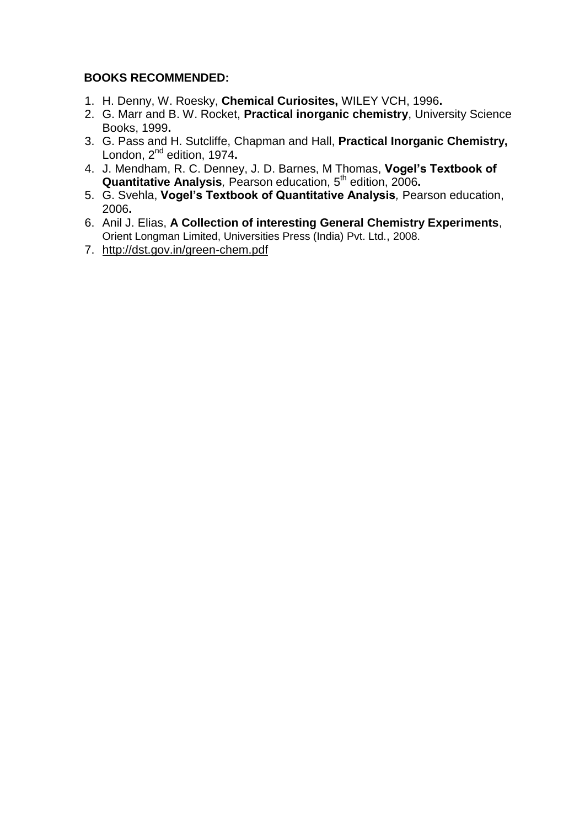#### **BOOKS RECOMMENDED:**

- 1. H. Denny, W. Roesky, **Chemical Curiosites,** WILEY VCH, 1996**.**
- 2. G. Marr and B. W. Rocket, **Practical inorganic chemistry**, University Science Books, 1999**.**
- 3. G. Pass and H. Sutcliffe, Chapman and Hall, **Practical Inorganic Chemistry,** London, 2<sup>nd</sup> edition, 1974.
- 4. J. Mendham, R. C. Denney, J. D. Barnes, M Thomas, **Vogel's Textbook of Quantitative Analysis***,* Pearson education, 5 th edition, 2006**.**
- 5. G. Svehla, **Vogel's Textbook of Quantitative Analysis***,* Pearson education, 2006**.**
- 6. Anil J. Elias, **A Collection of interesting General Chemistry Experiments**, Orient Longman Limited, Universities Press (India) Pvt. Ltd., 2008.
- 7. <http://dst.gov.in/green-chem.pdf>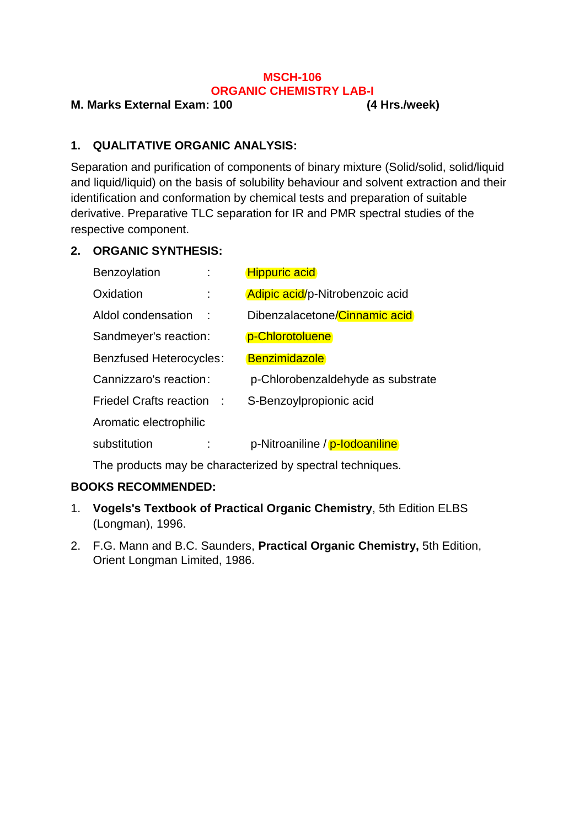#### **MSCH-106 ORGANIC CHEMISTRY LAB-I**

#### **M. Marks External Exam: 100 (4 Hrs./week)**

### **1. QUALITATIVE ORGANIC ANALYSIS:**

Separation and purification of components of binary mixture (Solid/solid, solid/liquid and liquid/liquid) on the basis of solubility behaviour and solvent extraction and their identification and conformation by chemical tests and preparation of suitable derivative. Preparative TLC separation for IR and PMR spectral studies of the respective component.

#### **2. ORGANIC SYNTHESIS:**

| Benzoylation                   |   | <b>Hippuric acid</b>              |
|--------------------------------|---|-----------------------------------|
| Oxidation                      |   | Adipic acid/p-Nitrobenzoic acid   |
| Aldol condensation             | ÷ | Dibenzalacetone/Cinnamic acid     |
| Sandmeyer's reaction:          |   | p-Chlorotoluene                   |
| <b>Benzfused Heterocycles:</b> |   | <b>Benzimidazole</b>              |
| Cannizzaro's reaction:         |   | p-Chlorobenzaldehyde as substrate |
| <b>Friedel Crafts reaction</b> |   | S-Benzoylpropionic acid           |
| Aromatic electrophilic         |   |                                   |
| substitution                   |   | p-Nitroaniline / p-lodoaniline    |

The products may be characterized by spectral techniques.

#### **BOOKS RECOMMENDED:**

- 1. **Vogels's Textbook of Practical Organic Chemistry**, 5th Edition ELBS (Longman), 1996.
- 2. F.G. Mann and B.C. Saunders, **Practical Organic Chemistry,** 5th Edition, Orient Longman Limited, 1986.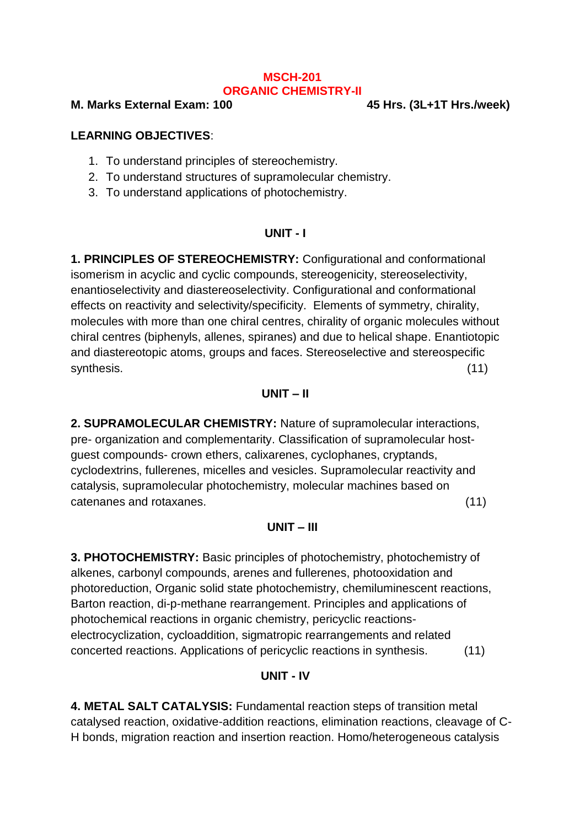#### **MSCH-201 ORGANIC CHEMISTRY-II**

**M. Marks External Exam: 100 45 Hrs. (3L+1T Hrs./week)**

#### **LEARNING OBJECTIVES**:

- 1. To understand principles of stereochemistry.
- 2. To understand structures of supramolecular chemistry.
- 3. To understand applications of photochemistry.

#### **UNIT - I**

**1. PRINCIPLES OF STEREOCHEMISTRY:** Configurational and conformational isomerism in acyclic and cyclic compounds, stereogenicity, stereoselectivity, enantioselectivity and diastereoselectivity. Configurational and conformational effects on reactivity and selectivity/specificity. Elements of symmetry, chirality, molecules with more than one chiral centres, chirality of organic molecules without chiral centres (biphenyls, allenes, spiranes) and due to helical shape. Enantiotopic and diastereotopic atoms, groups and faces. Stereoselective and stereospecific synthesis. (11)

#### **UNIT – II**

**2. SUPRAMOLECULAR CHEMISTRY:** Nature of supramolecular interactions, pre- organization and complementarity. Classification of supramolecular hostguest compounds- crown ethers, calixarenes, cyclophanes, cryptands, cyclodextrins, fullerenes, micelles and vesicles. Supramolecular reactivity and catalysis, supramolecular photochemistry, molecular machines based on catenanes and rotaxanes. (11)

#### **UNIT – III**

**3. PHOTOCHEMISTRY:** Basic principles of photochemistry, photochemistry of alkenes, carbonyl compounds, arenes and fullerenes, photooxidation and photoreduction, Organic solid state photochemistry, chemiluminescent reactions, Barton reaction, di-p-methane rearrangement. Principles and applications of photochemical reactions in organic chemistry, pericyclic reactionselectrocyclization, cycloaddition, sigmatropic rearrangements and related concerted reactions. Applications of pericyclic reactions in synthesis. (11)

#### **UNIT - IV**

**4. METAL SALT CATALYSIS:** Fundamental reaction steps of transition metal catalysed reaction, oxidative-addition reactions, elimination reactions, cleavage of C-H bonds, migration reaction and insertion reaction. Homo/heterogeneous catalysis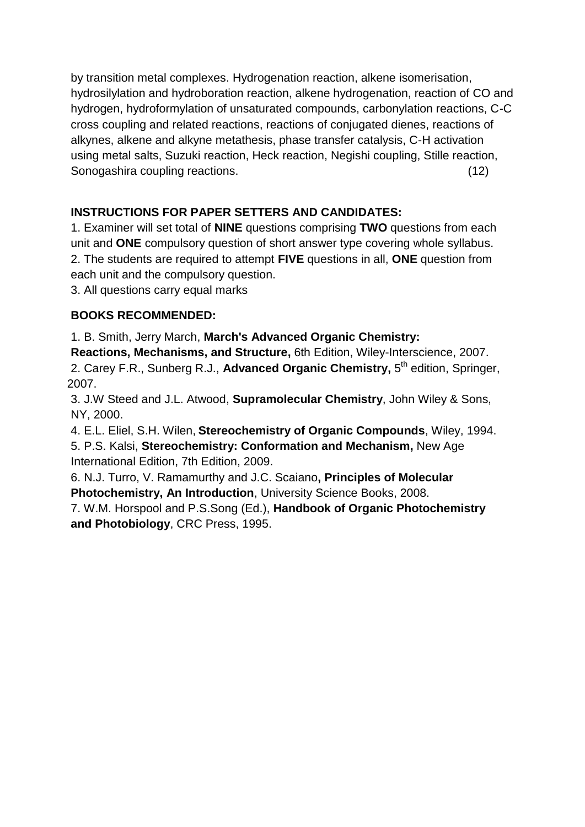by transition metal complexes. Hydrogenation reaction, alkene isomerisation, hydrosilylation and hydroboration reaction, alkene hydrogenation, reaction of CO and hydrogen, hydroformylation of unsaturated compounds, carbonylation reactions, C-C cross coupling and related reactions, reactions of conjugated dienes, reactions of alkynes, alkene and alkyne metathesis, phase transfer catalysis, C-H activation using metal salts, Suzuki reaction, Heck reaction, Negishi coupling, Stille reaction, Sonogashira coupling reactions. (12)

## **INSTRUCTIONS FOR PAPER SETTERS AND CANDIDATES:**

1. Examiner will set total of **NINE** questions comprising **TWO** questions from each unit and **ONE** compulsory question of short answer type covering whole syllabus. 2. The students are required to attempt **FIVE** questions in all, **ONE** question from each unit and the compulsory question.

3. All questions carry equal marks

## **BOOKS RECOMMENDED:**

1. B. Smith, Jerry March, **March's Advanced Organic Chemistry:** 

**Reactions, Mechanisms, and Structure,** 6th Edition, Wiley-Interscience, 2007.

2. Carey F.R., Sunberg R.J., Advanced Organic Chemistry, 5<sup>th</sup> edition, Springer, 2007.

3. J.W Steed and J.L. Atwood, **Supramolecular Chemistry**, John Wiley & Sons, NY, 2000.

4. E.L. Eliel, S.H. Wilen, **Stereochemistry of Organic Compounds**, Wiley, 1994.

5. P.S. Kalsi, **Stereochemistry: Conformation and Mechanism,** New Age International Edition, 7th Edition, 2009.

6. N.J. Turro, V. Ramamurthy and J.C. Scaiano**, Principles of Molecular Photochemistry, An Introduction**, University Science Books, 2008.

7. W.M. Horspool and P.S.Song (Ed.), **Handbook of Organic Photochemistry and Photobiology**, CRC Press, 1995.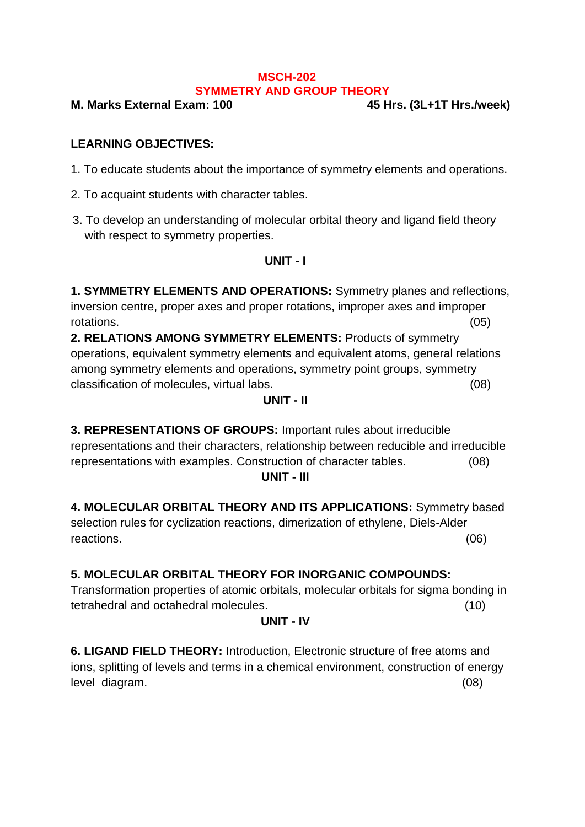#### **MSCH-202 SYMMETRY AND GROUP THEORY**

**M. Marks External Exam: 100 45 Hrs. (3L+1T Hrs./week)**

### **LEARNING OBJECTIVES:**

- 1. To educate students about the importance of symmetry elements and operations.
- 2. To acquaint students with character tables.
- 3. To develop an understanding of molecular orbital theory and ligand field theory with respect to symmetry properties.

#### **UNIT - I**

**1. SYMMETRY ELEMENTS AND OPERATIONS:** Symmetry planes and reflections, inversion centre, proper axes and proper rotations, improper axes and improper rotations. (05)

**2. RELATIONS AMONG SYMMETRY ELEMENTS:** Products of symmetry operations, equivalent symmetry elements and equivalent atoms, general relations among symmetry elements and operations, symmetry point groups, symmetry classification of molecules, virtual labs. (08)

#### **UNIT - II**

**3. REPRESENTATIONS OF GROUPS:** Important rules about irreducible representations and their characters, relationship between reducible and irreducible representations with examples. Construction of character tables. (08)

#### **UNIT - III**

**4. MOLECULAR ORBITAL THEORY AND ITS APPLICATIONS:** Symmetry based selection rules for cyclization reactions, dimerization of ethylene, Diels-Alder reactions. (06)

## **5. MOLECULAR ORBITAL THEORY FOR INORGANIC COMPOUNDS:**

Transformation properties of atomic orbitals, molecular orbitals for sigma bonding in tetrahedral and octahedral molecules. (10)

#### **UNIT - IV**

**6. LIGAND FIELD THEORY:** Introduction, Electronic structure of free atoms and ions, splitting of levels and terms in a chemical environment, construction of energy level diagram. (08)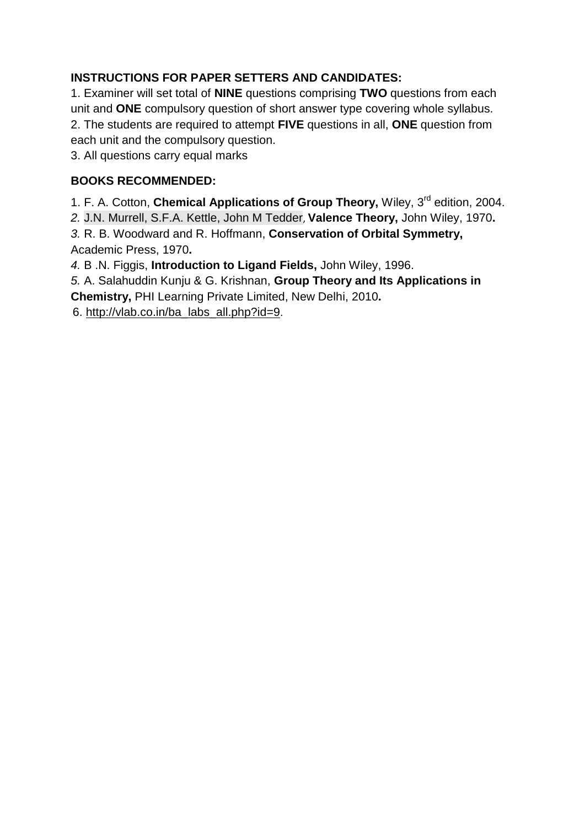## **INSTRUCTIONS FOR PAPER SETTERS AND CANDIDATES:**

1. Examiner will set total of **NINE** questions comprising **TWO** questions from each unit and **ONE** compulsory question of short answer type covering whole syllabus. 2. The students are required to attempt **FIVE** questions in all, **ONE** question from each unit and the compulsory question.

3. All questions carry equal marks

## **BOOKS RECOMMENDED:**

1. F. A. Cotton, **Chemical Applications of Group Theory,** Wiley, 3rd edition, 2004. *2.* [J.N. Murrell,](javascript:doAuthorSearch() [S.F.A. Kettle,](javascript:doAuthorSearch() [John M Tedder](javascript:doAuthorSearch(), **Valence Theory,** John Wiley, 1970**.** *3.* R. B. Woodward and R. Hoffmann, **Conservation of Orbital Symmetry,** Academic Press, 1970**.** *4.* B .N. Figgis, **Introduction to Ligand Fields,** John Wiley, 1996.

*5.* A. Salahuddin Kunju & G. Krishnan, **Group Theory and Its Applications in Chemistry,** PHI Learning Private Limited, New Delhi, 2010**.**

6. [http://vlab.co.in/ba\\_labs\\_all.php?id=9](http://vlab.co.in/ba_labs_all.php?id=9).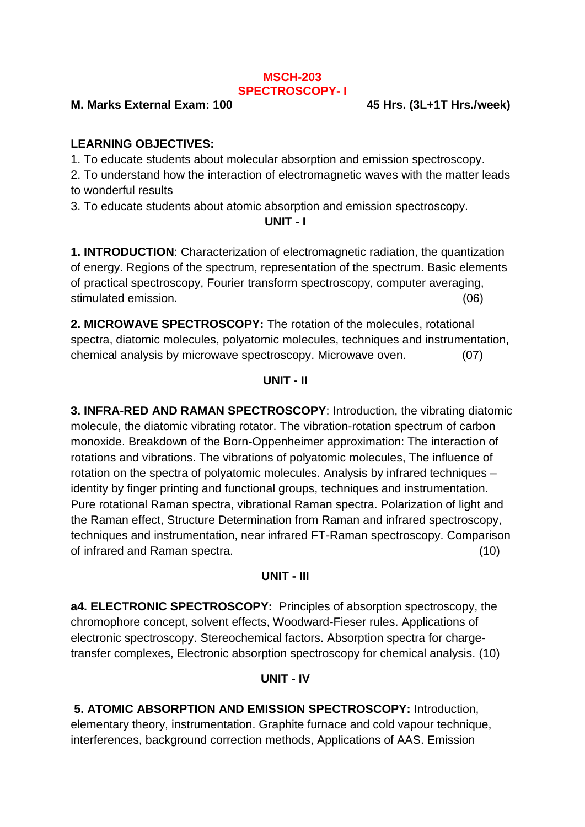#### **MSCH-203 SPECTROSCOPY- I**

#### **M. Marks External Exam: 100 45 Hrs. (3L+1T Hrs./week)**

#### **LEARNING OBJECTIVES:**

1. To educate students about molecular absorption and emission spectroscopy.

2. To understand how the interaction of electromagnetic waves with the matter leads to wonderful results

3. To educate students about atomic absorption and emission spectroscopy.

#### **UNIT - I**

**1. INTRODUCTION**: Characterization of electromagnetic radiation, the quantization of energy. Regions of the spectrum, representation of the spectrum. Basic elements of practical spectroscopy, Fourier transform spectroscopy, computer averaging, stimulated emission. (06)

**2. MICROWAVE SPECTROSCOPY:** The rotation of the molecules, rotational spectra, diatomic molecules, polyatomic molecules, techniques and instrumentation, chemical analysis by microwave spectroscopy. Microwave oven. (07)

#### **UNIT - II**

**3. INFRA-RED AND RAMAN SPECTROSCOPY**: Introduction, the vibrating diatomic molecule, the diatomic vibrating rotator. The vibration-rotation spectrum of carbon monoxide. Breakdown of the Born-Oppenheimer approximation: The interaction of rotations and vibrations. The vibrations of polyatomic molecules, The influence of rotation on the spectra of polyatomic molecules. Analysis by infrared techniques – identity by finger printing and functional groups, techniques and instrumentation. Pure rotational Raman spectra, vibrational Raman spectra. Polarization of light and the Raman effect, Structure Determination from Raman and infrared spectroscopy, techniques and instrumentation, near infrared FT-Raman spectroscopy. Comparison of infrared and Raman spectra. (10)

#### **UNIT - III**

**a4. ELECTRONIC SPECTROSCOPY:** Principles of absorption spectroscopy, the chromophore concept, solvent effects, Woodward-Fieser rules. Applications of electronic spectroscopy. Stereochemical factors. Absorption spectra for chargetransfer complexes, Electronic absorption spectroscopy for chemical analysis. (10)

#### **UNIT - IV**

**5. ATOMIC ABSORPTION AND EMISSION SPECTROSCOPY:** Introduction, elementary theory, instrumentation. Graphite furnace and cold vapour technique, interferences, background correction methods, Applications of AAS. Emission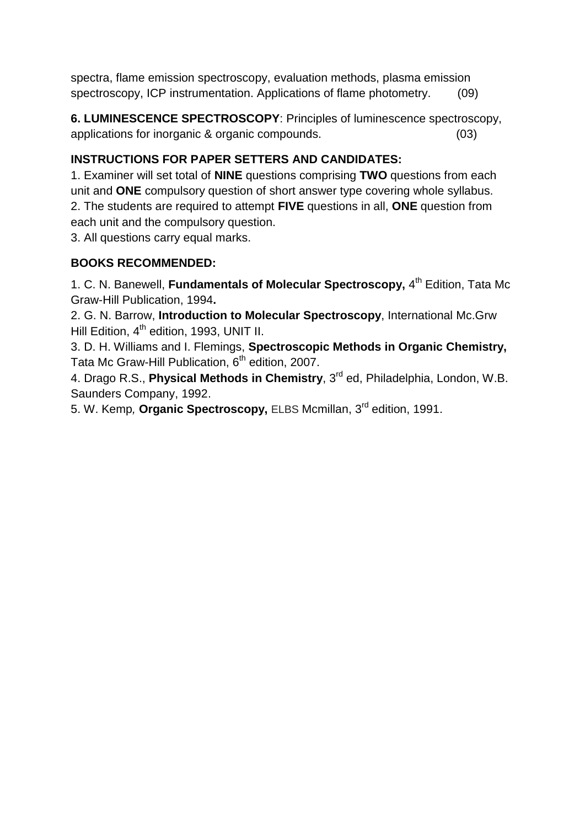spectra, flame emission spectroscopy, evaluation methods, plasma emission spectroscopy, ICP instrumentation. Applications of flame photometry. (09)

**6. LUMINESCENCE SPECTROSCOPY**: Principles of luminescence spectroscopy, applications for inorganic & organic compounds. (03)

## **INSTRUCTIONS FOR PAPER SETTERS AND CANDIDATES:**

1. Examiner will set total of **NINE** questions comprising **TWO** questions from each unit and **ONE** compulsory question of short answer type covering whole syllabus. 2. The students are required to attempt **FIVE** questions in all, **ONE** question from each unit and the compulsory question.

3. All questions carry equal marks.

## **BOOKS RECOMMENDED:**

1. C. N. Banewell, **Fundamentals of Molecular Spectroscopy,** 4 th Edition, Tata Mc Graw-Hill Publication, 1994**.**

2. G. N. Barrow, **Introduction to Molecular Spectroscopy**, International Mc.Grw Hill Edition, 4<sup>th</sup> edition, 1993, UNIT II.

3. D. H. Williams and I. Flemings, **Spectroscopic Methods in Organic Chemistry,** Tata Mc Graw-Hill Publication, 6<sup>th</sup> edition, 2007.

4. Drago R.S., **Physical Methods in Chemistry**, 3rd ed, Philadelphia, London, W.B. Saunders Company, 1992.

5. W. Kemp*,* **Organic Spectroscopy,** ELBS Mcmillan, 3 rd edition, 1991.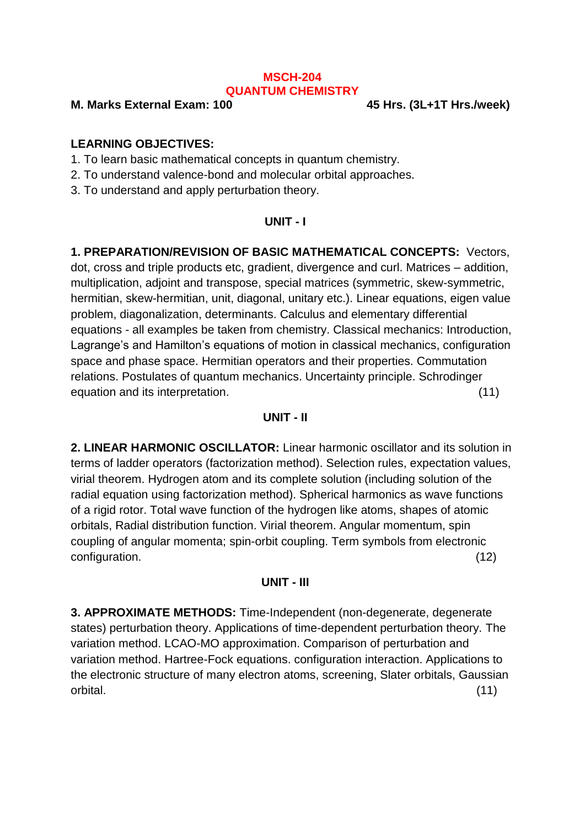#### **MSCH-204 QUANTUM CHEMISTRY**

**M. Marks External Exam: 100 45 Hrs. (3L+1T Hrs./week)**

#### **LEARNING OBJECTIVES:**

- 1. To learn basic mathematical concepts in quantum chemistry.
- 2. To understand valence-bond and molecular orbital approaches.
- 3. To understand and apply perturbation theory.

#### **UNIT - I**

**1. PREPARATION/REVISION OF BASIC MATHEMATICAL CONCEPTS:** Vectors, dot, cross and triple products etc, gradient, divergence and curl. Matrices – addition, multiplication, adjoint and transpose, special matrices (symmetric, skew-symmetric, hermitian, skew-hermitian, unit, diagonal, unitary etc.). Linear equations, eigen value problem, diagonalization, determinants. Calculus and elementary differential equations - all examples be taken from chemistry. Classical mechanics: Introduction, Lagrange's and Hamilton's equations of motion in classical mechanics, configuration space and phase space. Hermitian operators and their properties. Commutation relations. Postulates of quantum mechanics. Uncertainty principle. Schrodinger equation and its interpretation. (11)

#### **UNIT - II**

**2. LINEAR HARMONIC OSCILLATOR:** Linear harmonic oscillator and its solution in terms of ladder operators (factorization method). Selection rules, expectation values, virial theorem. Hydrogen atom and its complete solution (including solution of the radial equation using factorization method). Spherical harmonics as wave functions of a rigid rotor. Total wave function of the hydrogen like atoms, shapes of atomic orbitals, Radial distribution function. Virial theorem. Angular momentum, spin coupling of angular momenta; spin-orbit coupling. Term symbols from electronic configuration. (12)

#### **UNIT - III**

**3. APPROXIMATE METHODS:** Time-Independent (non-degenerate, degenerate states) perturbation theory. Applications of time-dependent perturbation theory. The variation method. LCAO-MO approximation. Comparison of perturbation and variation method. Hartree-Fock equations. configuration interaction. Applications to the electronic structure of many electron atoms, screening, Slater orbitals, Gaussian orbital. (11)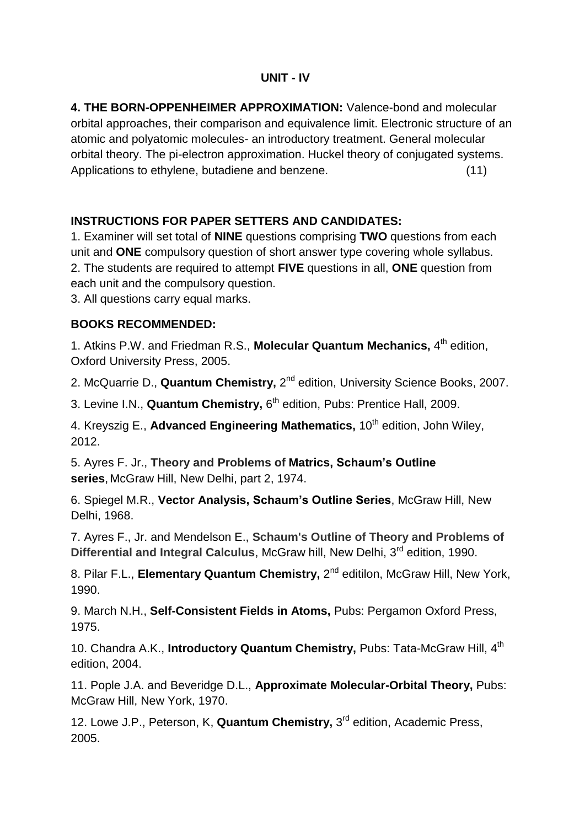#### **UNIT - IV**

**4. THE BORN-OPPENHEIMER APPROXIMATION:** Valence-bond and molecular orbital approaches, their comparison and equivalence limit. Electronic structure of an atomic and polyatomic molecules- an introductory treatment. General molecular orbital theory. The pi-electron approximation. Huckel theory of conjugated systems. Applications to ethylene, butadiene and benzene. (11)

### **INSTRUCTIONS FOR PAPER SETTERS AND CANDIDATES:**

1. Examiner will set total of **NINE** questions comprising **TWO** questions from each unit and **ONE** compulsory question of short answer type covering whole syllabus. 2. The students are required to attempt **FIVE** questions in all, **ONE** question from each unit and the compulsory question.

3. All questions carry equal marks.

### **BOOKS RECOMMENDED:**

1. Atkins P.W. and Friedman R.S., Molecular Quantum Mechanics, 4<sup>th</sup> edition, Oxford University Press, 2005.

2. McQuarrie D., Quantum Chemistry, 2<sup>nd</sup> edition, University Science Books, 2007.

3. Levine I.N., **Quantum Chemistry,** 6 th edition, Pubs: Prentice Hall, 2009.

4. Kreyszig E., Advanced Engineering Mathematics, 10<sup>th</sup> edition, John Wiley, 2012.

5. Ayres F. Jr., **Theory and Problems of Matrics, Schaum's Outline series**, McGraw Hill, New Delhi, part 2, 1974.

6. Spiegel M.R., **Vector Analysis, Schaum's Outline Series**, McGraw Hill, New Delhi, 1968.

7. Ayres F., Jr. and Mendelson E., **Schaum's Outline of Theory and Problems of**  Differential and Integral Calculus, McGraw hill, New Delhi, 3<sup>rd</sup> edition, 1990.

8. Pilar F.L., Elementary Quantum Chemistry, 2<sup>nd</sup> editilon, McGraw Hill, New York, 1990.

9. March N.H., **Self-Consistent Fields in Atoms,** Pubs: Pergamon Oxford Press, 1975.

10. Chandra A.K., **Introductory Quantum Chemistry,** Pubs: Tata-McGraw Hill, 4th edition, 2004.

11. Pople J.A. and Beveridge D.L., **Approximate Molecular-Orbital Theory,** Pubs: McGraw Hill, New York, 1970.

12. Lowe J.P., Peterson, K, **Quantum Chemistry,** 3<sup>rd</sup> edition, Academic Press, 2005.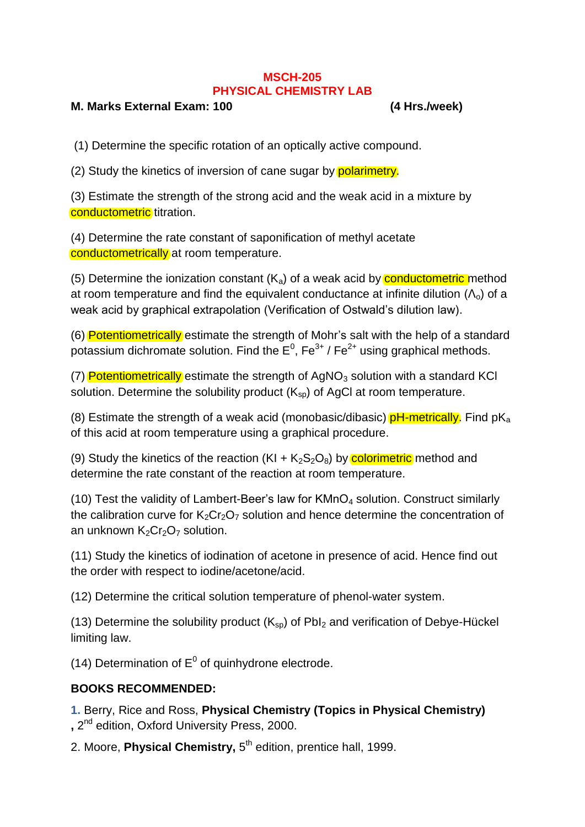#### **MSCH-205 PHYSICAL CHEMISTRY LAB**

#### **M. Marks External Exam: 100 (4 Hrs./week)**

(1) Determine the specific rotation of an optically active compound.

(2) Study the kinetics of inversion of cane sugar by polarimetry.

(3) Estimate the strength of the strong acid and the weak acid in a mixture by conductometric titration.

(4) Determine the rate constant of saponification of methyl acetate conductometrically at room temperature.

(5) Determine the ionization constant  $(K_a)$  of a weak acid by **conductometric** method at room temperature and find the equivalent conductance at infinite dilution  $(\Lambda_0)$  of a weak acid by graphical extrapolation (Verification of Ostwald's dilution law).

(6) Potentiometrically estimate the strength of Mohr's salt with the help of a standard potassium dichromate solution. Find the  $E^0$ , Fe<sup>3+</sup> / Fe<sup>2+</sup> using graphical methods.

(7) Potentiometrically estimate the strength of  $AgNO<sub>3</sub>$  solution with a standard KCI solution. Determine the solubility product  $(K_{\rm SD})$  of AgCl at room temperature.

(8) Estimate the strength of a weak acid (monobasic/dibasic)  $pH$ -metrically. Find  $pK_a$ of this acid at room temperature using a graphical procedure.

(9) Study the kinetics of the reaction  $(KI + K<sub>2</sub>S<sub>2</sub>O<sub>8</sub>)$  by **colorimetric** method and determine the rate constant of the reaction at room temperature.

(10) Test the validity of Lambert-Beer's law for  $KMnO<sub>4</sub>$  solution. Construct similarly the calibration curve for  $K_2Cr_2O_7$  solution and hence determine the concentration of an unknown  $K_2Cr_2O_7$  solution.

(11) Study the kinetics of iodination of acetone in presence of acid. Hence find out the order with respect to iodine/acetone/acid.

(12) Determine the critical solution temperature of phenol-water system.

(13) Determine the solubility product  $(K_{\rm{sn}})$  of PbI<sub>2</sub> and verification of Debye-Hückel limiting law.

(14) Determination of  $E^0$  of quinhydrone electrode.

#### **BOOKS RECOMMENDED:**

**1.** Berry, Rice and Ross, **Physical Chemistry (Topics in Physical Chemistry) ,** 2 nd edition, Oxford University Press, 2000.

2. Moore, Physical Chemistry, 5<sup>th</sup> edition, prentice hall, 1999.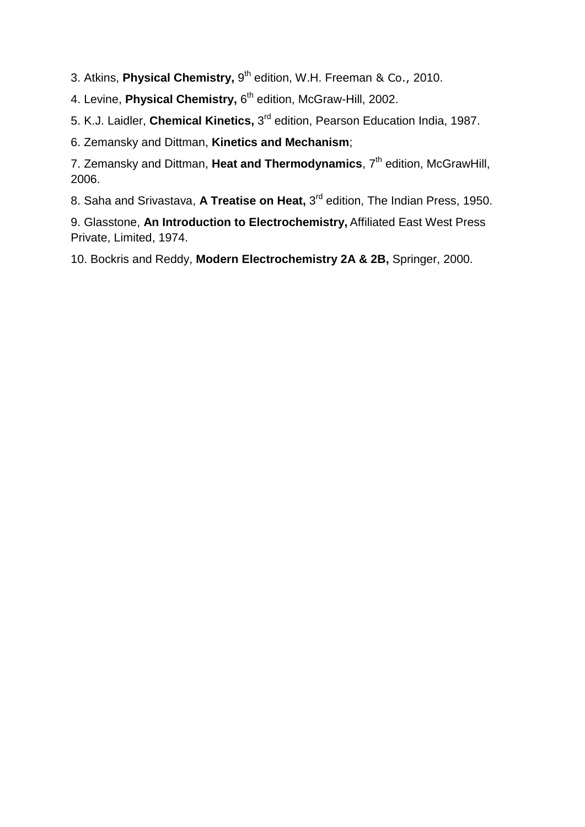3. Atkins, Physical Chemistry, 9<sup>th</sup> edition, W.H. Freeman & Co., 2010.

4. Levine, Physical Chemistry, 6<sup>th</sup> edition, McGraw-Hill, 2002.

5. K.J. Laidler, **Chemical Kinetics,** 3 rd edition, Pearson Education India, 1987.

6. Zemansky and Dittman, **Kinetics and Mechanism**;

7. Zemansky and Dittman, Heat and Thermodynamics, 7<sup>th</sup> edition, McGrawHill, 2006.

8. Saha and Srivastava, A Treatise on Heat, 3<sup>rd</sup> edition, The Indian Press, 1950.

9. Glasstone, **An Introduction to Electrochemistry,** [Affiliated East West Press](http://archive.org/search.php?query=publisher%3A%22Affiliated+East+West+Press+Private%2C+Limited%22)  [Private, Limited,](http://archive.org/search.php?query=publisher%3A%22Affiliated+East+West+Press+Private%2C+Limited%22) 1974.

10. Bockris and Reddy, **Modern Electrochemistry 2A & 2B,** Springer, 2000.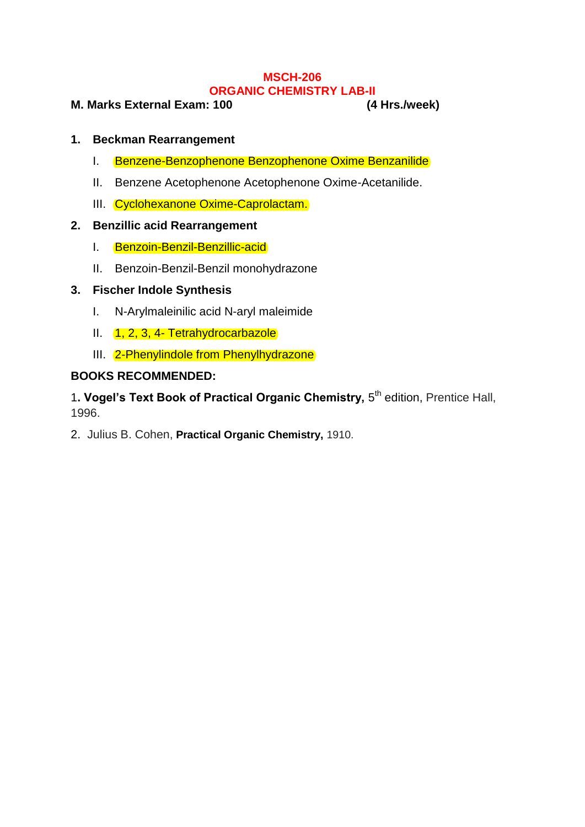#### **MSCH-206 ORGANIC CHEMISTRY LAB-II**

#### **M. Marks External Exam: 100 (4 Hrs./week)**

#### **1. Beckman Rearrangement**

- I. Benzene-Benzophenone Benzophenone Oxime Benzanilide
- II. Benzene Acetophenone Acetophenone Oxime-Acetanilide.
- III. Cyclohexanone Oxime-Caprolactam.

#### **2. Benzillic acid Rearrangement**

- I. Benzoin-Benzil-Benzillic-acid
- II. Benzoin-Benzil-Benzil monohydrazone

#### **3. Fischer Indole Synthesis**

- I. N-Arylmaleinilic acid N-aryl maleimide
- II. 1, 2, 3, 4- Tetrahydrocarbazole
- III. 2-Phenylindole from Phenylhydrazone

#### **BOOKS RECOMMENDED:**

1. Vogel's Text Book of Practical Organic Chemistry, 5<sup>th</sup> edition, Prentice Hall, 1996.

2. Julius B. Cohen, **Practical Organic Chemistry,** 1910.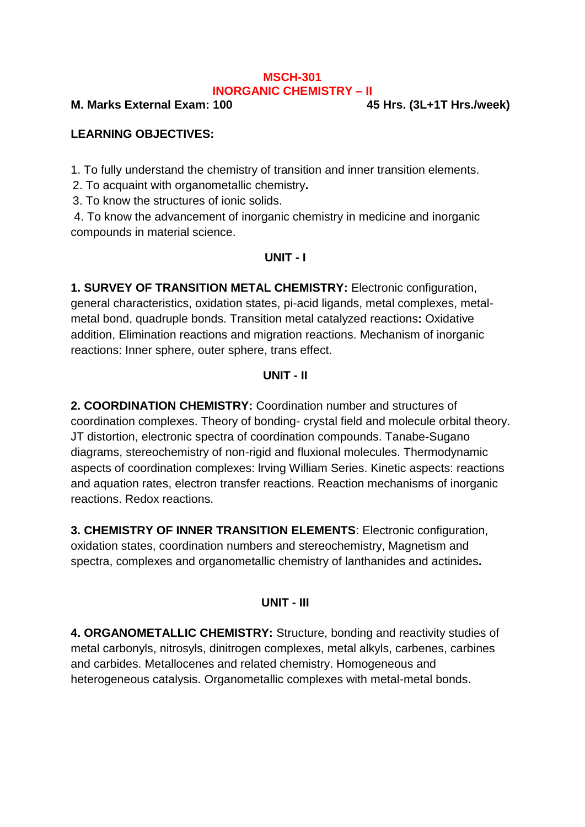#### **MSCH-301 INORGANIC CHEMISTRY – II**

**M. Marks External Exam: 100 45 Hrs. (3L+1T Hrs./week)**

## **LEARNING OBJECTIVES:**

1. To fully understand the chemistry of transition and inner transition elements.

2. To acquaint with organometallic chemistry**.**

3. To know the structures of ionic solids.

4. To know the advancement of inorganic chemistry in medicine and inorganic compounds in material science.

#### **UNIT - I**

**1. SURVEY OF TRANSITION METAL CHEMISTRY:** Electronic configuration, general characteristics, oxidation states, pi-acid ligands, metal complexes, metalmetal bond, quadruple bonds. Transition metal catalyzed reactions**:** Oxidative addition, Elimination reactions and migration reactions. Mechanism of inorganic reactions: Inner sphere, outer sphere, trans effect.

#### **UNIT - II**

**2. COORDINATION CHEMISTRY:** Coordination number and structures of coordination complexes. Theory of bonding- crystal field and molecule orbital theory. JT distortion, electronic spectra of coordination compounds. Tanabe-Sugano diagrams, stereochemistry of non-rigid and fluxional molecules. Thermodynamic aspects of coordination complexes: lrving William Series. Kinetic aspects: reactions and aquation rates, electron transfer reactions. Reaction mechanisms of inorganic reactions. Redox reactions.

**3. CHEMISTRY OF INNER TRANSITION ELEMENTS**: Electronic configuration, oxidation states, coordination numbers and stereochemistry, Magnetism and spectra, complexes and organometallic chemistry of lanthanides and actinides**.**

#### **UNIT - III**

**4. ORGANOMETALLIC CHEMISTRY:** Structure, bonding and reactivity studies of metal carbonyls, nitrosyls, dinitrogen complexes, metal alkyls, carbenes, carbines and carbides. Metallocenes and related chemistry. Homogeneous and heterogeneous catalysis. Organometallic complexes with metal-metal bonds.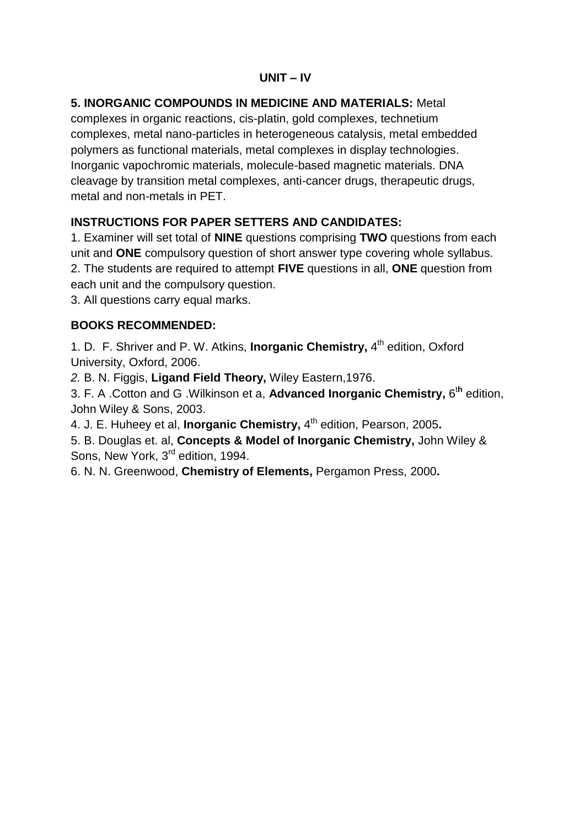#### **UNIT – IV**

## **5. INORGANIC COMPOUNDS IN MEDICINE AND MATERIALS:** Metal

complexes in organic reactions, cis-platin, gold complexes, technetium complexes, metal nano-particles in heterogeneous catalysis, metal embedded polymers as functional materials, metal complexes in display technologies. Inorganic vapochromic materials, molecule-based magnetic materials. DNA cleavage by transition metal complexes, anti-cancer drugs, therapeutic drugs, metal and non-metals in PFT

### **INSTRUCTIONS FOR PAPER SETTERS AND CANDIDATES:**

1. Examiner will set total of **NINE** questions comprising **TWO** questions from each unit and **ONE** compulsory question of short answer type covering whole syllabus. 2. The students are required to attempt **FIVE** questions in all, **ONE** question from each unit and the compulsory question.

3. All questions carry equal marks.

### **BOOKS RECOMMENDED:**

1. D. F. Shriver and P. W. Atkins, **Inorganic Chemistry,** 4<sup>th</sup> edition, Oxford University, Oxford, 2006.

*2.* B. N. Figgis, **Ligand Field Theory,** Wiley Eastern,1976.

3. F. A .Cotton and G .Wilkinson et a, **Advanced Inorganic Chemistry,** 6 t**h** edition, John Wiley & Sons, 2003.

4. J. E. Huheey et al, **Inorganic Chemistry,** 4 th edition, Pearson, 2005**.**

5. B. Douglas et. al, **Concepts & Model of Inorganic Chemistry,** John Wiley & Sons, New York, 3<sup>rd</sup> edition, 1994.

6. N. N. Greenwood, **Chemistry of Elements,** Pergamon Press, 2000**.**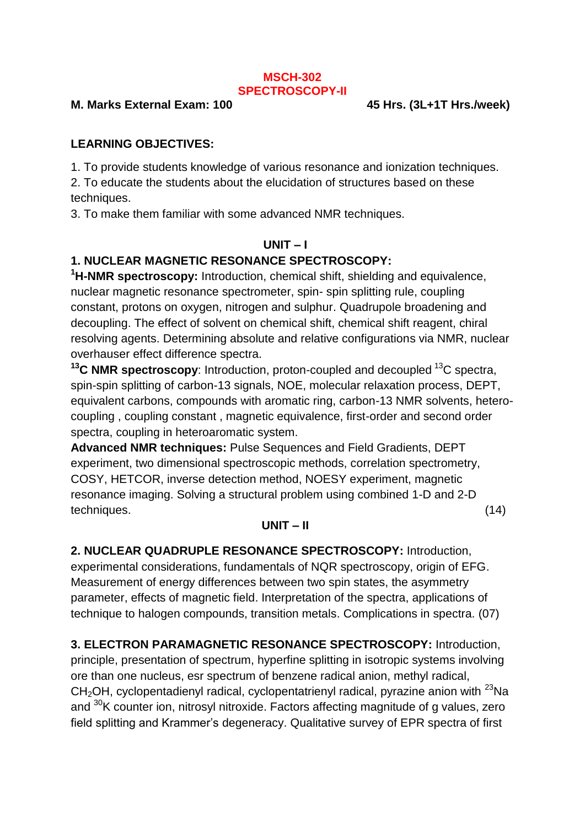#### **MSCH-302 SPECTROSCOPY-II**

#### **M. Marks External Exam: 100 45 Hrs. (3L+1T Hrs./week)**

## **LEARNING OBJECTIVES:**

1. To provide students knowledge of various resonance and ionization techniques.

2. To educate the students about the elucidation of structures based on these techniques.

3. To make them familiar with some advanced NMR techniques.

### **UNIT – I**

## **1. NUCLEAR MAGNETIC RESONANCE SPECTROSCOPY:**

**<sup>1</sup>H-NMR spectroscopy:** Introduction, chemical shift, shielding and equivalence, nuclear magnetic resonance spectrometer, spin- spin splitting rule, coupling constant, protons on oxygen, nitrogen and sulphur. Quadrupole broadening and decoupling. The effect of solvent on chemical shift, chemical shift reagent, chiral resolving agents. Determining absolute and relative configurations via NMR, nuclear overhauser effect difference spectra.

**<sup>13</sup>C NMR spectroscopy**: Introduction, proton-coupled and decoupled <sup>13</sup>C spectra, spin-spin splitting of carbon-13 signals, NOE, molecular relaxation process, DEPT, equivalent carbons, compounds with aromatic ring, carbon-13 NMR solvents, heterocoupling , coupling constant , magnetic equivalence, first-order and second order spectra, coupling in heteroaromatic system.

**Advanced NMR techniques:** Pulse Sequences and Field Gradients, DEPT experiment, two dimensional spectroscopic methods, correlation spectrometry, COSY, HETCOR, inverse detection method, NOESY experiment, magnetic resonance imaging. Solving a structural problem using combined 1-D and 2-D techniques. (14)

#### **UNIT – II**

**2. NUCLEAR QUADRUPLE RESONANCE SPECTROSCOPY:** Introduction, experimental considerations, fundamentals of NQR spectroscopy, origin of EFG. Measurement of energy differences between two spin states, the asymmetry parameter, effects of magnetic field. Interpretation of the spectra, applications of technique to halogen compounds, transition metals. Complications in spectra. (07)

**3. ELECTRON PARAMAGNETIC RESONANCE SPECTROSCOPY:** Introduction, principle, presentation of spectrum, hyperfine splitting in isotropic systems involving ore than one nucleus, esr spectrum of benzene radical anion, methyl radical,  $CH<sub>2</sub>OH$ , cyclopentadienyl radical, cyclopentatrienyl radical, pyrazine anion with  $^{23}$ Na and <sup>30</sup>K counter ion, nitrosyl nitroxide. Factors affecting magnitude of g values, zero field splitting and Krammer's degeneracy. Qualitative survey of EPR spectra of first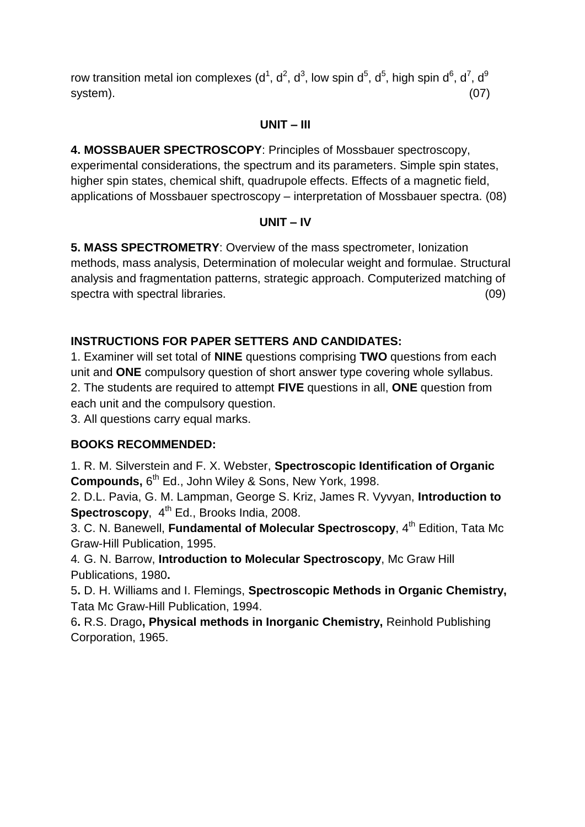row transition metal ion complexes (d<sup>1</sup>, d<sup>2</sup>, d<sup>3</sup>, low spin d<sup>5</sup>, d<sup>5</sup>, high spin d<sup>6</sup>, d<sup>7</sup>, d<sup>9</sup> system). (07)

#### **UNIT – III**

**4. MOSSBAUER SPECTROSCOPY**: Principles of Mossbauer spectroscopy, experimental considerations, the spectrum and its parameters. Simple spin states, higher spin states, chemical shift, quadrupole effects. Effects of a magnetic field, applications of Mossbauer spectroscopy – interpretation of Mossbauer spectra. (08)

#### **UNIT – IV**

**5. MASS SPECTROMETRY**: Overview of the mass spectrometer, Ionization methods, mass analysis, Determination of molecular weight and formulae. Structural analysis and fragmentation patterns, strategic approach. Computerized matching of spectra with spectral libraries. (09)

### **INSTRUCTIONS FOR PAPER SETTERS AND CANDIDATES:**

1. Examiner will set total of **NINE** questions comprising **TWO** questions from each unit and **ONE** compulsory question of short answer type covering whole syllabus. 2. The students are required to attempt **FIVE** questions in all, **ONE** question from each unit and the compulsory question.

3. All questions carry equal marks.

#### **BOOKS RECOMMENDED:**

1. R. M. Silverstein and F. X. Webster, **Spectroscopic Identification of Organic**  Compounds, 6<sup>th</sup> Ed., John Wiley & Sons, New York, 1998.

2. D.L. Pavia, G. M. Lampman, George S. Kriz, James R. Vyvyan, **Introduction to** Spectroscopy, 4<sup>th</sup> Ed., Brooks India, 2008.

3. C. N. Banewell, Fundamental of Molecular Spectroscopy, 4<sup>th</sup> Edition, Tata Mc Graw-Hill Publication, 1995.

4*.* G. N. Barrow, **Introduction to Molecular Spectroscopy**, Mc Graw Hill Publications, 1980**.**

5**.** D. H. Williams and I. Flemings, **Spectroscopic Methods in Organic Chemistry,** Tata Mc Graw-Hill Publication, 1994.

6**.** R.S. Drago**, Physical methods in Inorganic Chemistry,** Reinhold Publishing Corporation, 1965.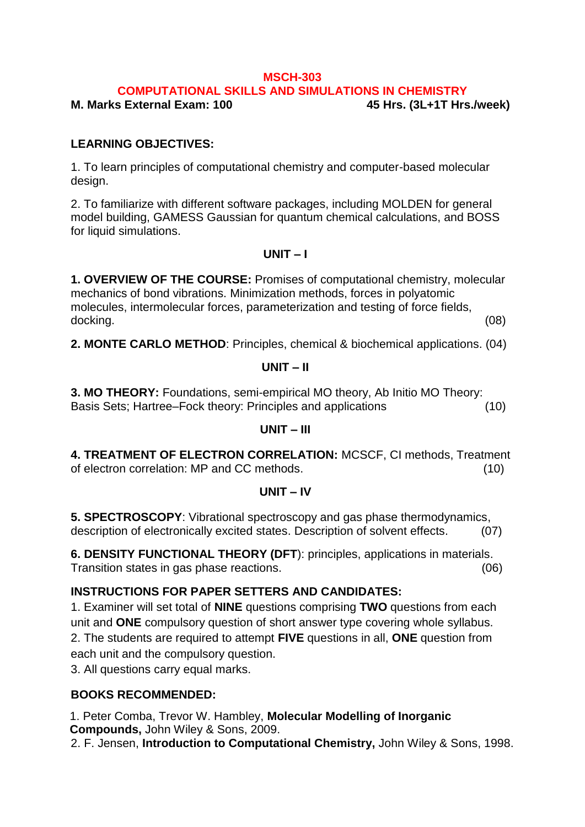#### **MSCH-303**

**COMPUTATIONAL SKILLS AND SIMULATIONS IN CHEMISTRY**

**M. Marks External Exam: 100 45 Hrs. (3L+1T Hrs./week)**

#### **LEARNING OBJECTIVES:**

1. To learn principles of computational chemistry and computer-based molecular design.

2. To familiarize with different software packages, including MOLDEN for general model building, GAMESS Gaussian for quantum chemical calculations, and BOSS for liquid simulations.

#### **UNIT – I**

**1. OVERVIEW OF THE COURSE:** Promises of computational chemistry, molecular mechanics of bond vibrations. Minimization methods, forces in polyatomic molecules, intermolecular forces, parameterization and testing of force fields, docking. (08)

**2. MONTE CARLO METHOD**: Principles, chemical & biochemical applications. (04)

#### **UNIT – II**

**3. MO THEORY:** Foundations, semi-empirical MO theory, Ab Initio MO Theory: Basis Sets; Hartree–Fock theory: Principles and applications (10)

#### **UNIT – III**

**4. TREATMENT OF ELECTRON CORRELATION:** MCSCF, CI methods, Treatment of electron correlation: MP and CC methods. (10)

#### **UNIT – IV**

**5. SPECTROSCOPY**: Vibrational spectroscopy and gas phase thermodynamics, description of electronically excited states. Description of solvent effects. (07)

**6. DENSITY FUNCTIONAL THEORY (DFT**): principles, applications in materials. Transition states in gas phase reactions. (06)

#### **INSTRUCTIONS FOR PAPER SETTERS AND CANDIDATES:**

1. Examiner will set total of **NINE** questions comprising **TWO** questions from each unit and **ONE** compulsory question of short answer type covering whole syllabus. 2. The students are required to attempt **FIVE** questions in all, **ONE** question from each unit and the compulsory question.

3. All questions carry equal marks.

#### **BOOKS RECOMMENDED:**

1. Peter Comba, Trevor W. Hambley, **Molecular Modelling of Inorganic Compounds,** John Wiley & Sons, 2009.

2. F. Jensen, **Introduction to Computational Chemistry,** John Wiley & Sons, 1998.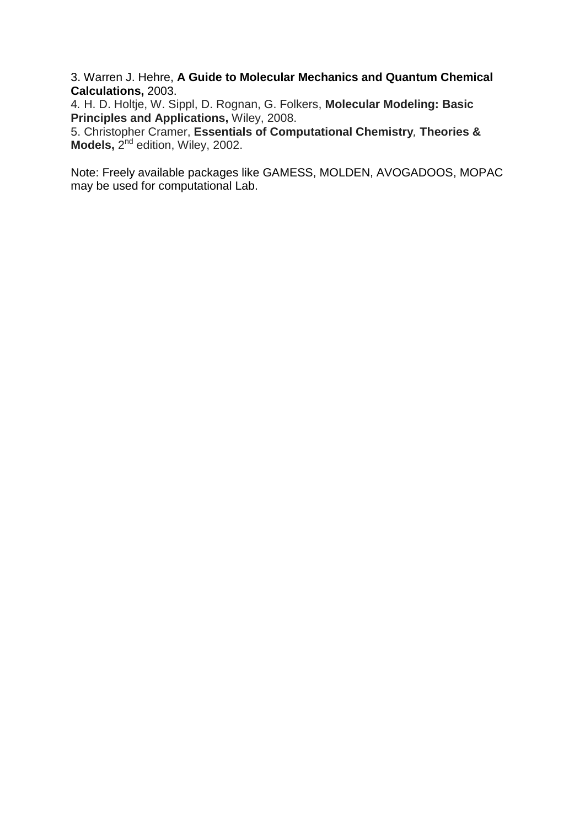3. Warren J. Hehre, **A Guide to Molecular Mechanics and Quantum Chemical Calculations,** 2003.

4*.* H. D. Holtje, W. Sippl, D. Rognan, G. Folkers, **Molecular Modeling: Basic Principles and Applications,** Wiley, 2008.

5. Christopher Cramer, **Essentials of Computational Chemistry***,* **Theories &**  Models, 2<sup>nd</sup> edition, Wiley, 2002.

Note: Freely available packages like GAMESS, MOLDEN, AVOGADOOS, MOPAC may be used for computational Lab.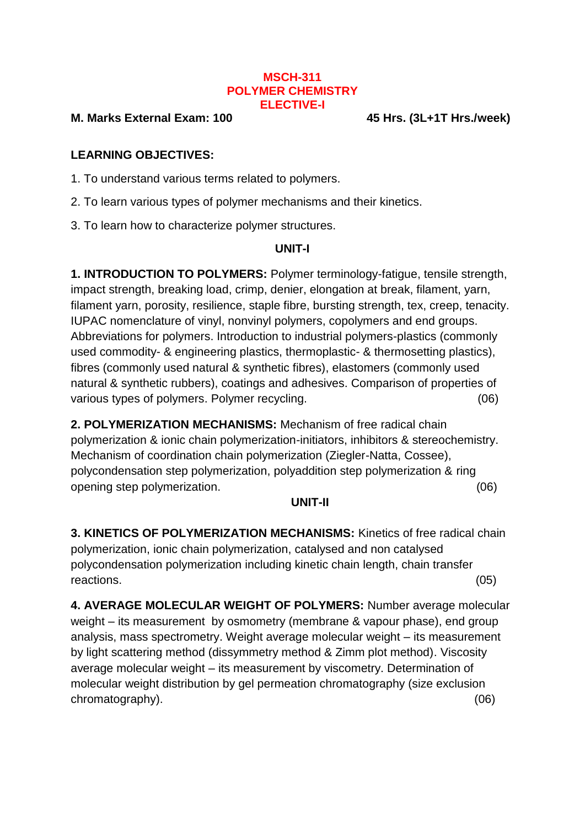#### **MSCH-311 POLYMER CHEMISTRY ELECTIVE-I**

#### **M. Marks External Exam: 100 45 Hrs. (3L+1T Hrs./week)**

#### **LEARNING OBJECTIVES:**

1. To understand various terms related to polymers.

2. To learn various types of polymer mechanisms and their kinetics.

3. To learn how to characterize polymer structures.

#### **UNIT-I**

**1. INTRODUCTION TO POLYMERS:** Polymer terminology-fatigue, tensile strength, impact strength, breaking load, crimp, denier, elongation at break, filament, yarn, filament yarn, porosity, resilience, staple fibre, bursting strength, tex, creep, tenacity. IUPAC nomenclature of vinyl, nonvinyl polymers, copolymers and end groups. Abbreviations for polymers. Introduction to industrial polymers-plastics (commonly used commodity- & engineering plastics, thermoplastic- & thermosetting plastics), fibres (commonly used natural & synthetic fibres), elastomers (commonly used natural & synthetic rubbers), coatings and adhesives. Comparison of properties of various types of polymers. Polymer recycling. (06)

**2. POLYMERIZATION MECHANISMS:** Mechanism of free radical chain polymerization & ionic chain polymerization-initiators, inhibitors & stereochemistry. Mechanism of coordination chain polymerization (Ziegler-Natta, Cossee), polycondensation step polymerization, polyaddition step polymerization & ring opening step polymerization. (06)

#### **UNIT-II**

**3. KINETICS OF POLYMERIZATION MECHANISMS:** Kinetics of free radical chain polymerization, ionic chain polymerization, catalysed and non catalysed polycondensation polymerization including kinetic chain length, chain transfer reactions. (05)

**4. AVERAGE MOLECULAR WEIGHT OF POLYMERS:** Number average molecular weight – its measurement by osmometry (membrane & vapour phase), end group analysis, mass spectrometry. Weight average molecular weight – its measurement by light scattering method (dissymmetry method & Zimm plot method). Viscosity average molecular weight – its measurement by viscometry. Determination of molecular weight distribution by gel permeation chromatography (size exclusion chromatography).(06)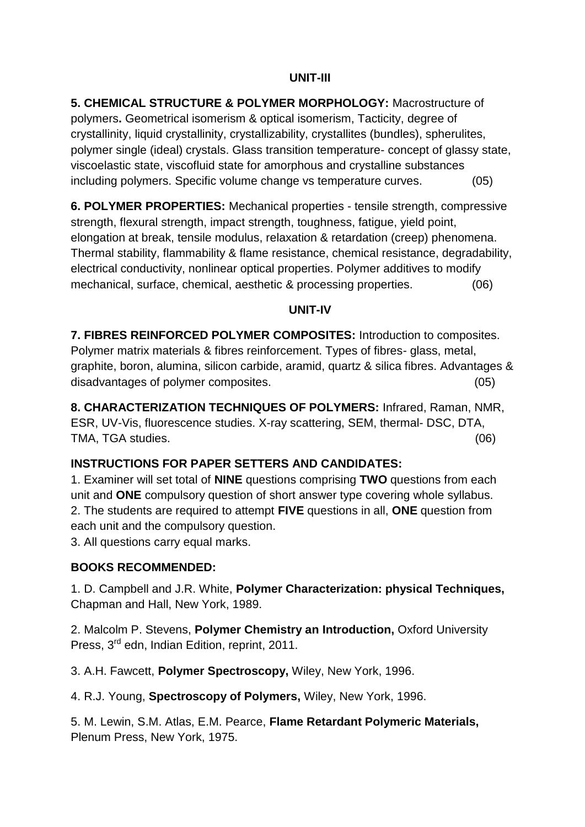#### **UNIT-III**

**5. CHEMICAL STRUCTURE & POLYMER MORPHOLOGY:** Macrostructure of polymers**.** Geometrical isomerism & optical isomerism, Tacticity, degree of crystallinity, liquid crystallinity, crystallizability, crystallites (bundles), spherulites, polymer single (ideal) crystals. Glass transition temperature- concept of glassy state, viscoelastic state, viscofluid state for amorphous and crystalline substances including polymers. Specific volume change vs temperature curves. (05)

**6. POLYMER PROPERTIES:** Mechanical properties - tensile strength, compressive strength, flexural strength, impact strength, toughness, fatigue, yield point, elongation at break, tensile modulus, relaxation & retardation (creep) phenomena. Thermal stability, flammability & flame resistance, chemical resistance, degradability, electrical conductivity, nonlinear optical properties. Polymer additives to modify mechanical, surface, chemical, aesthetic & processing properties. (06)

#### **UNIT-IV**

**7. FIBRES REINFORCED POLYMER COMPOSITES:** Introduction to composites. Polymer matrix materials & fibres reinforcement. Types of fibres- glass, metal, graphite, boron, alumina, silicon carbide, aramid, quartz & silica fibres. Advantages & disadvantages of polymer composites. (05)

**8. CHARACTERIZATION TECHNIQUES OF POLYMERS:** Infrared, Raman, NMR, ESR, UV-Vis, fluorescence studies. X-ray scattering, SEM, thermal- DSC, DTA, TMA, TGA studies. (06)

#### **INSTRUCTIONS FOR PAPER SETTERS AND CANDIDATES:**

1. Examiner will set total of **NINE** questions comprising **TWO** questions from each unit and **ONE** compulsory question of short answer type covering whole syllabus. 2. The students are required to attempt **FIVE** questions in all, **ONE** question from each unit and the compulsory question.

3. All questions carry equal marks.

#### **BOOKS RECOMMENDED:**

1. D. Campbell and J.R. White, **Polymer Characterization: physical Techniques,** Chapman and Hall, New York, 1989.

2. Malcolm P. Stevens, **Polymer Chemistry an Introduction,** Oxford University Press, 3<sup>rd</sup> edn, Indian Edition, reprint, 2011.

3. A.H. Fawcett, **Polymer Spectroscopy,** Wiley, New York, 1996.

4. R.J. Young, **Spectroscopy of Polymers,** Wiley, New York, 1996.

5. M. Lewin, S.M. Atlas, E.M. Pearce, **Flame Retardant Polymeric Materials,** Plenum Press, New York, 1975.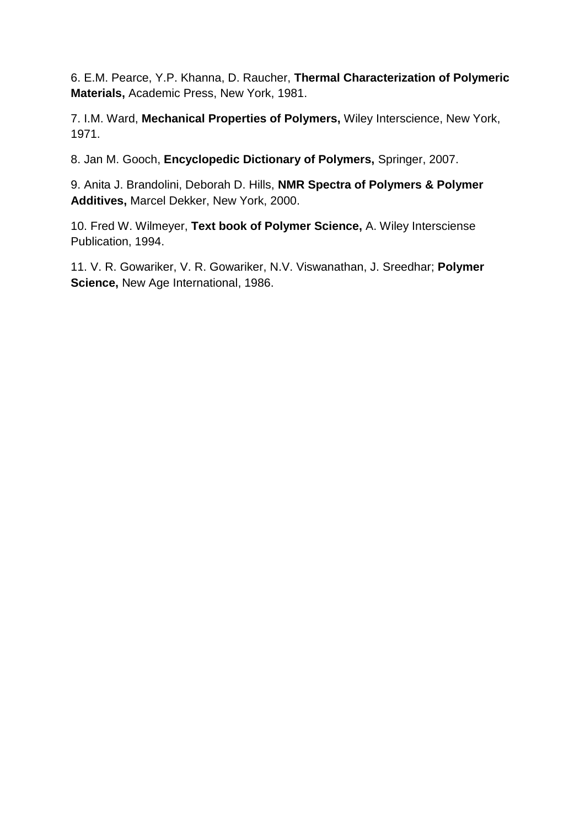6. E.M. Pearce, Y.P. Khanna, D. Raucher, **Thermal Characterization of Polymeric Materials,** Academic Press, New York, 1981.

7. I.M. Ward, **Mechanical Properties of Polymers,** Wiley Interscience, New York, 1971.

8. Jan M. Gooch, **Encyclopedic Dictionary of Polymers,** Springer, 2007.

9. Anita J. Brandolini, Deborah D. Hills, **NMR Spectra of Polymers & Polymer Additives,** Marcel Dekker, New York, 2000.

10. Fred W. Wilmeyer, **Text book of Polymer Science,** A. Wiley Intersciense Publication, 1994.

11. V. R. Gowariker, V. R. Gowariker, N.V. Viswanathan, J. Sreedhar; **Polymer Science,** New Age International, 1986.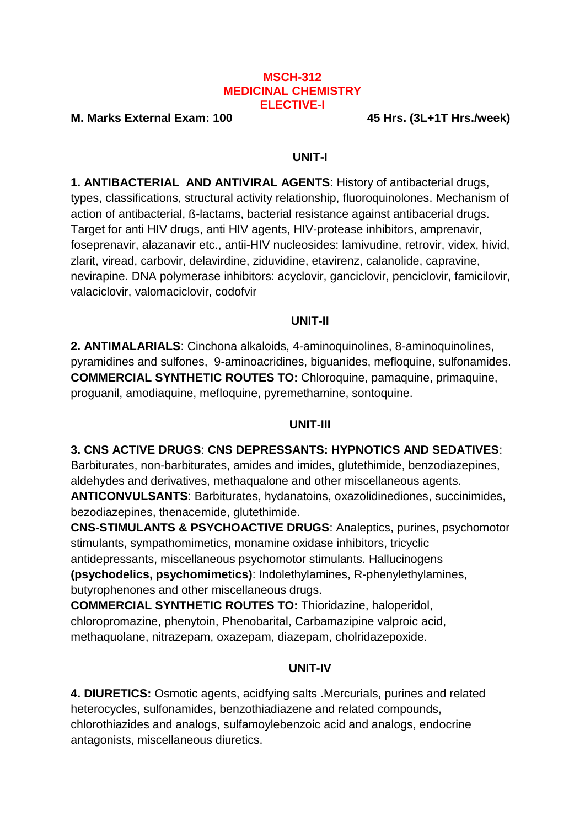#### **MSCH-312 MEDICINAL CHEMISTRY ELECTIVE-I**

**M. Marks External Exam: 100 45 Hrs. (3L+1T Hrs./week)**

#### **UNIT-I**

**1. ANTIBACTERIAL AND ANTIVIRAL AGENTS**: History of antibacterial drugs, types, classifications, structural activity relationship, fluoroquinolones. Mechanism of action of antibacterial, ß-lactams, bacterial resistance against antibacerial drugs. Target for anti HIV drugs, anti HIV agents, HIV-protease inhibitors, amprenavir, foseprenavir, alazanavir etc., antii-HIV nucleosides: lamivudine, retrovir, videx, hivid, zlarit, viread, carbovir, delavirdine, ziduvidine, etavirenz, calanolide, capravine, nevirapine. DNA polymerase inhibitors: acyclovir, ganciclovir, penciclovir, famicilovir, valaciclovir, valomaciclovir, codofvir

#### **UNIT-II**

**2. ANTIMALARIALS**: Cinchona alkaloids, 4-aminoquinolines, 8-aminoquinolines, pyramidines and sulfones, 9-aminoacridines, biguanides, mefloquine, sulfonamides. **COMMERCIAL SYNTHETIC ROUTES TO:** Chloroquine, pamaquine, primaquine, proguanil, amodiaquine, mefloquine, pyremethamine, sontoquine.

#### **UNIT-III**

#### **3. CNS ACTIVE DRUGS**: **CNS DEPRESSANTS: HYPNOTICS AND SEDATIVES**:

Barbiturates, non-barbiturates, amides and imides, glutethimide, benzodiazepines, aldehydes and derivatives, methaqualone and other miscellaneous agents. **ANTICONVULSANTS**: Barbiturates, hydanatoins, oxazolidinediones, succinimides, bezodiazepines, thenacemide, glutethimide.

**CNS-STIMULANTS & PSYCHOACTIVE DRUGS**: Analeptics, purines, psychomotor stimulants, sympathomimetics, monamine oxidase inhibitors, tricyclic antidepressants, miscellaneous psychomotor stimulants. Hallucinogens **(psychodelics, psychomimetics)**: Indolethylamines, R-phenylethylamines, butyrophenones and other miscellaneous drugs.

**COMMERCIAL SYNTHETIC ROUTES TO:** Thioridazine, haloperidol, chloropromazine, phenytoin, Phenobarital, Carbamazipine valproic acid, methaquolane, nitrazepam, oxazepam, diazepam, cholridazepoxide.

## **UNIT-IV**

**4. DIURETICS:** Osmotic agents, acidfying salts .Mercurials, purines and related heterocycles, sulfonamides, benzothiadiazene and related compounds, chlorothiazides and analogs, sulfamoylebenzoic acid and analogs, endocrine antagonists, miscellaneous diuretics.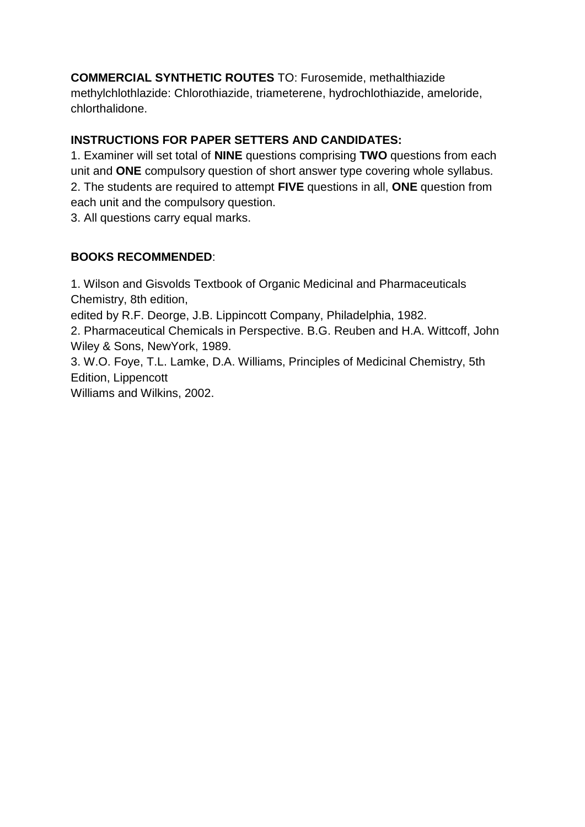**COMMERCIAL SYNTHETIC ROUTES** TO: Furosemide, methalthiazide methylchlothlazide: Chlorothiazide, triameterene, hydrochlothiazide, ameloride, chlorthalidone.

## **INSTRUCTIONS FOR PAPER SETTERS AND CANDIDATES:**

1. Examiner will set total of **NINE** questions comprising **TWO** questions from each unit and **ONE** compulsory question of short answer type covering whole syllabus. 2. The students are required to attempt **FIVE** questions in all, **ONE** question from each unit and the compulsory question.

3. All questions carry equal marks.

### **BOOKS RECOMMENDED**:

1. Wilson and Gisvolds Textbook of Organic Medicinal and Pharmaceuticals Chemistry, 8th edition,

edited by R.F. Deorge, J.B. Lippincott Company, Philadelphia, 1982.

2. Pharmaceutical Chemicals in Perspective. B.G. Reuben and H.A. Wittcoff, John Wiley & Sons, NewYork, 1989.

3. W.O. Foye, T.L. Lamke, D.A. Williams, Principles of Medicinal Chemistry, 5th Edition, Lippencott

Williams and Wilkins, 2002.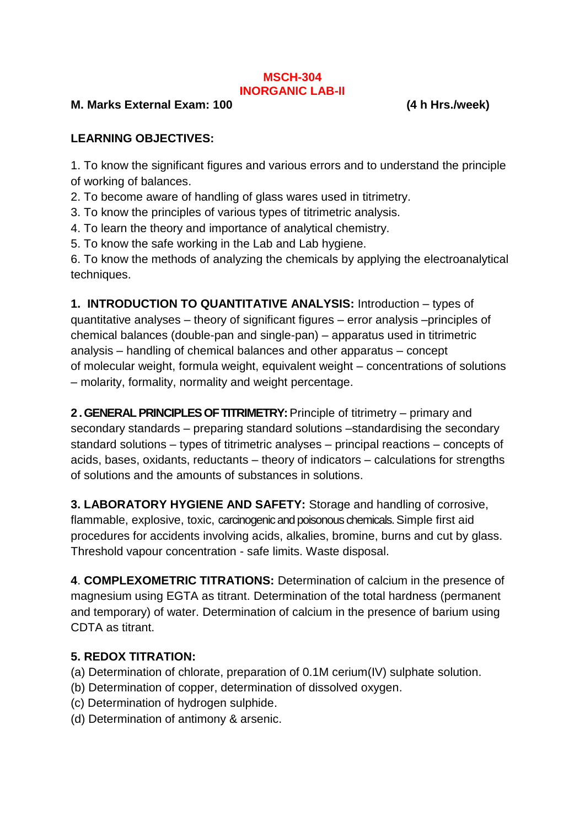#### **MSCH-304 INORGANIC LAB-II**

#### **M. Marks External Exam: 100 (4 h Hrs./week)**

### **LEARNING OBJECTIVES:**

1. To know the significant figures and various errors and to understand the principle of working of balances.

- 2. To become aware of handling of glass wares used in titrimetry.
- 3. To know the principles of various types of titrimetric analysis.
- 4. To learn the theory and importance of analytical chemistry.
- 5. To know the safe working in the Lab and Lab hygiene.

6. To know the methods of analyzing the chemicals by applying the electroanalytical techniques.

**1. INTRODUCTION TO QUANTITATIVE ANALYSIS:** Introduction – types of quantitative analyses – theory of significant figures – error analysis –principles of chemical balances (double-pan and single-pan) – apparatus used in titrimetric analysis – handling of chemical balances and other apparatus – concept of molecular weight, formula weight, equivalent weight – concentrations of solutions – molarity, formality, normality and weight percentage.

**2 . GENERAL PRINCIPLES OF TITRIMETRY:** Principle of titrimetry – primary and secondary standards – preparing standard solutions –standardising the secondary standard solutions – types of titrimetric analyses – principal reactions – concepts of acids, bases, oxidants, reductants – theory of indicators – calculations for strengths of solutions and the amounts of substances in solutions.

**3. LABORATORY HYGIENE AND SAFETY:** Storage and handling of corrosive, flammable, explosive, toxic, carcinogenic and poisonous chemicals. Simple first aid procedures for accidents involving acids, alkalies, bromine, burns and cut by glass. Threshold vapour concentration - safe limits. Waste disposal.

**4**. **COMPLEXOMETRIC TITRATIONS:** Determination of calcium in the presence of magnesium using EGTA as titrant. Determination of the total hardness (permanent and temporary) of water. Determination of calcium in the presence of barium using CDTA as titrant.

#### **5. REDOX TITRATION:**

- (a) Determination of chlorate, preparation of 0.1M cerium(IV) sulphate solution.
- (b) Determination of copper, determination of dissolved oxygen.
- (c) Determination of hydrogen sulphide.
- (d) Determination of antimony & arsenic.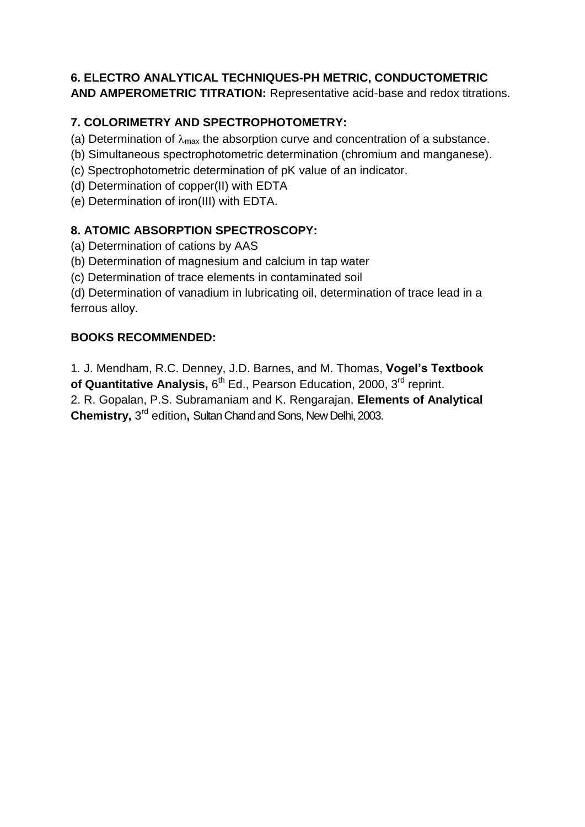## **6. ELECTRO ANALYTICAL TECHNIQUES-PH METRIC, CONDUCTOMETRIC**

**AND AMPEROMETRIC TITRATION:** Representative acid-base and redox titrations.

## **7. COLORIMETRY AND SPECTROPHOTOMETRY:**

- (a) Determination of  $\lambda_{\text{max}}$  the absorption curve and concentration of a substance.
- (b) Simultaneous spectrophotometric determination (chromium and manganese).
- (c) Spectrophotometric determination of pK value of an indicator.
- (d) Determination of copper(II) with EDTA
- (e) Determination of iron(III) with EDTA.

## **8. ATOMIC ABSORPTION SPECTROSCOPY:**

- (a) Determination of cations by AAS
- (b) Determination of magnesium and calcium in tap water
- (c) Determination of trace elements in contaminated soil

(d) Determination of vanadium in lubricating oil, determination of trace lead in a ferrous alloy.

### **BOOKS RECOMMENDED:**

1*.* J. Mendham, R.C. Denney, J.D. Barnes, and M. Thomas, **Vogel's Textbook**  of Quantitative Analysis, 6<sup>th</sup> Ed., Pearson Education, 2000, 3<sup>rd</sup> reprint.

2. R. Gopalan, P.S. Subramaniam and K. Rengarajan, **Elements of Analytical Chemistry,** 3 rd edition**,** Sultan Chand and Sons, New Delhi, 2003.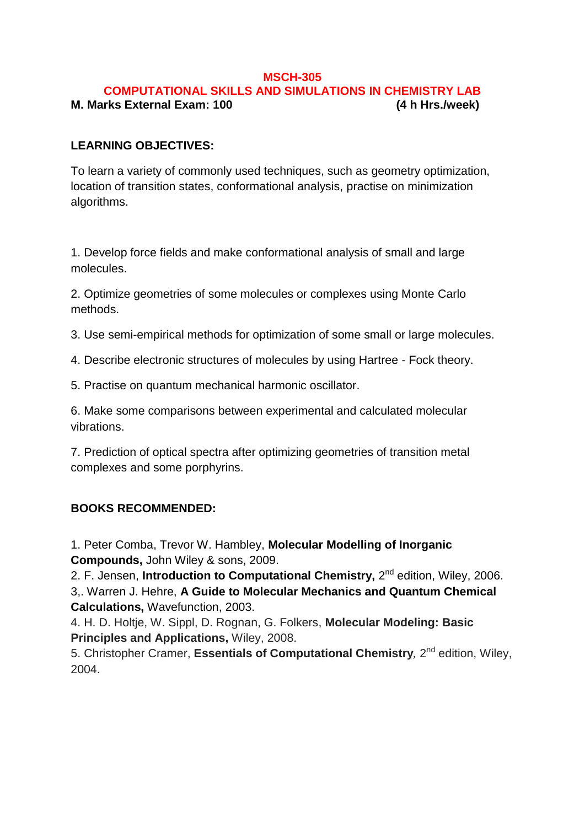#### **MSCH-305**

#### **COMPUTATIONAL SKILLS AND SIMULATIONS IN CHEMISTRY LAB M. Marks External Exam: 100 (4 h Hrs./week)**

#### **LEARNING OBJECTIVES:**

To learn a variety of commonly used techniques, such as geometry optimization, location of transition states, conformational analysis, practise on minimization algorithms.

1. Develop force fields and make conformational analysis of small and large molecules.

2. Optimize geometries of some molecules or complexes using Monte Carlo methods.

3. Use semi-empirical methods for optimization of some small or large molecules.

4. Describe electronic structures of molecules by using Hartree - Fock theory.

5. Practise on quantum mechanical harmonic oscillator.

6. Make some comparisons between experimental and calculated molecular vibrations.

7. Prediction of optical spectra after optimizing geometries of transition metal complexes and some porphyrins.

#### **BOOKS RECOMMENDED:**

1. Peter Comba, Trevor W. Hambley, **Molecular Modelling of Inorganic Compounds,** John Wiley & sons, 2009.

2. F. Jensen, **Introduction to Computational Chemistry,** 2<sup>nd</sup> edition, Wiley, 2006. 3,. Warren J. Hehre, **A Guide to Molecular Mechanics and Quantum Chemical Calculations,** Wavefunction, 2003.

4. H. D. Holtje, W. Sippl, D. Rognan, G. Folkers, **Molecular Modeling: Basic Principles and Applications,** Wiley, 2008.

5. Christopher Cramer, Essentials of Computational Chemistry, 2<sup>nd</sup> edition, Wiley, 2004.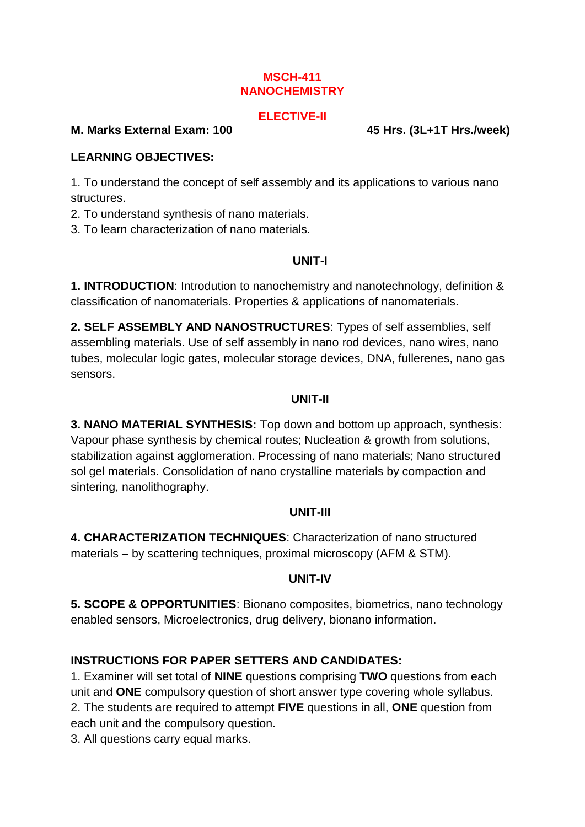#### **MSCH-411 NANOCHEMISTRY**

#### **ELECTIVE-II**

#### **M. Marks External Exam: 100 45 Hrs. (3L+1T Hrs./week)**

#### **LEARNING OBJECTIVES:**

1. To understand the concept of self assembly and its applications to various nano structures.

2. To understand synthesis of nano materials.

3. To learn characterization of nano materials.

### **UNIT-I**

**1. INTRODUCTION**: Introdution to nanochemistry and nanotechnology, definition & classification of nanomaterials. Properties & applications of nanomaterials.

**2. SELF ASSEMBLY AND NANOSTRUCTURES**: Types of self assemblies, self assembling materials. Use of self assembly in nano rod devices, nano wires, nano tubes, molecular logic gates, molecular storage devices, DNA, fullerenes, nano gas sensors.

### **UNIT-II**

**3. NANO MATERIAL SYNTHESIS:** Top down and bottom up approach, synthesis: Vapour phase synthesis by chemical routes; Nucleation & growth from solutions, stabilization against agglomeration. Processing of nano materials; Nano structured sol gel materials. Consolidation of nano crystalline materials by compaction and sintering, nanolithography.

#### **UNIT-III**

**4. CHARACTERIZATION TECHNIQUES**: Characterization of nano structured materials – by scattering techniques, proximal microscopy (AFM & STM).

## **UNIT-IV**

**5. SCOPE & OPPORTUNITIES**: Bionano composites, biometrics, nano technology enabled sensors, Microelectronics, drug delivery, bionano information.

## **INSTRUCTIONS FOR PAPER SETTERS AND CANDIDATES:**

1. Examiner will set total of **NINE** questions comprising **TWO** questions from each unit and **ONE** compulsory question of short answer type covering whole syllabus. 2. The students are required to attempt **FIVE** questions in all, **ONE** question from each unit and the compulsory question.

3. All questions carry equal marks.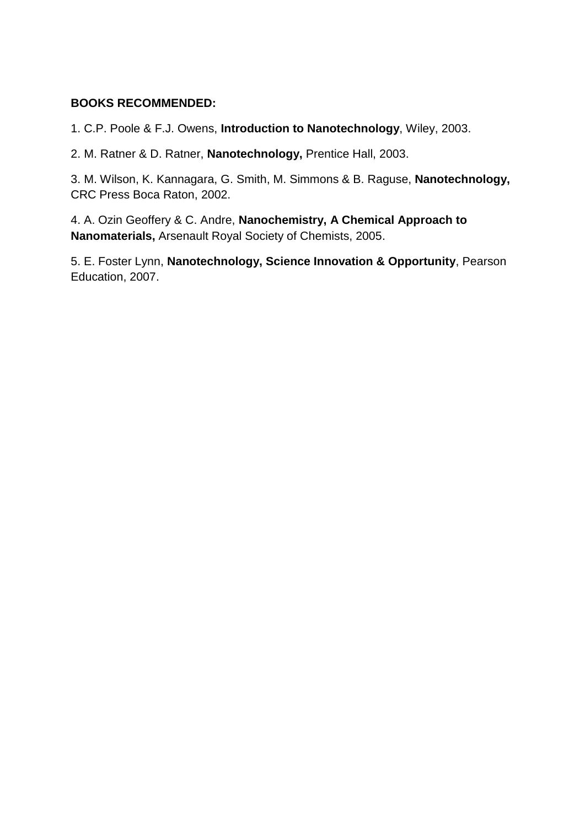#### **BOOKS RECOMMENDED:**

1. C.P. Poole & F.J. Owens, **Introduction to Nanotechnology**, Wiley, 2003.

2. M. Ratner & D. Ratner, **Nanotechnology,** Prentice Hall, 2003.

3. M. Wilson, K. Kannagara, G. Smith, M. Simmons & B. Raguse, **Nanotechnology,** CRC Press Boca Raton, 2002.

4. A. Ozin Geoffery & C. Andre, **Nanochemistry, A Chemical Approach to Nanomaterials,** Arsenault Royal Society of Chemists, 2005.

5. E. Foster Lynn, **Nanotechnology, Science Innovation & Opportunity**, Pearson Education, 2007.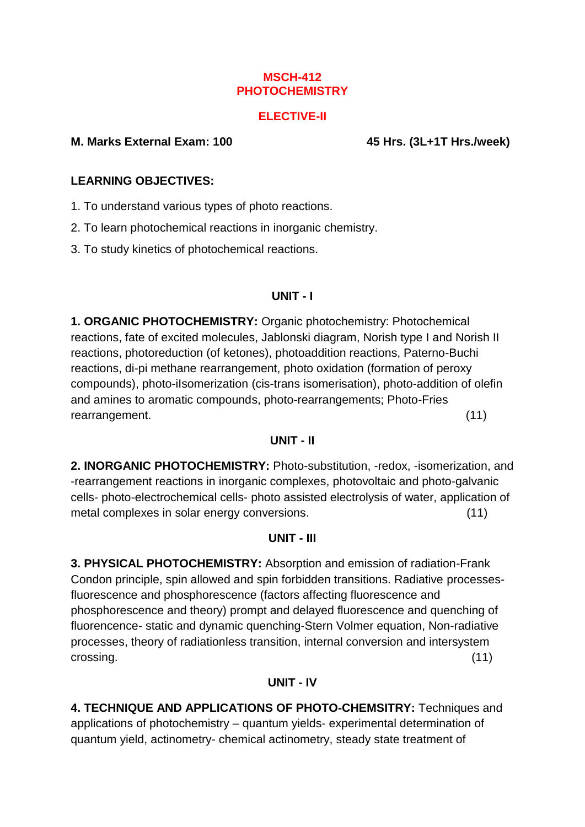#### **MSCH-412 PHOTOCHEMISTRY**

#### **ELECTIVE-II**

#### **M. Marks External Exam: 100 45 Hrs. (3L+1T Hrs./week)**

#### **LEARNING OBJECTIVES:**

1. To understand various types of photo reactions.

2. To learn photochemical reactions in inorganic chemistry.

3. To study kinetics of photochemical reactions.

### **UNIT - I**

**1. ORGANIC PHOTOCHEMISTRY:** Organic photochemistry: Photochemical reactions, fate of excited molecules, Jablonski diagram, Norish type I and Norish II reactions, photoreduction (of ketones), photoaddition reactions, Paterno-Buchi reactions, di-pi methane rearrangement, photo oxidation (formation of peroxy compounds), photo-iIsomerization (cis-trans isomerisation), photo-addition of olefin and amines to aromatic compounds, photo-rearrangements; Photo-Fries rearrangement. (11)

#### **UNIT - II**

**2. INORGANIC PHOTOCHEMISTRY:** Photo-substitution, -redox, -isomerization, and -rearrangement reactions in inorganic complexes, photovoltaic and photo-galvanic cells- photo-electrochemical cells- photo assisted electrolysis of water, application of metal complexes in solar energy conversions. (11)

#### **UNIT - III**

**3. PHYSICAL PHOTOCHEMISTRY:** Absorption and emission of radiation-Frank Condon principle, spin allowed and spin forbidden transitions. Radiative processesfluorescence and phosphorescence (factors affecting fluorescence and phosphorescence and theory) prompt and delayed fluorescence and quenching of fluorencence- static and dynamic quenching-Stern Volmer equation, Non-radiative processes, theory of radiationless transition, internal conversion and intersystem crossing. (11)

#### **UNIT - IV**

**4. TECHNIQUE AND APPLICATIONS OF PHOTO-CHEMSITRY:** Techniques and applications of photochemistry – quantum yields- experimental determination of quantum yield, actinometry- chemical actinometry, steady state treatment of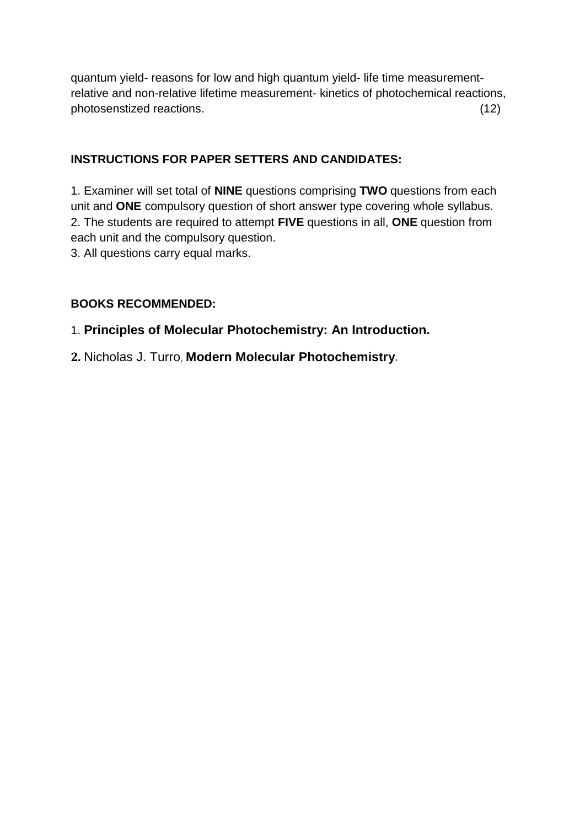quantum yield- reasons for low and high quantum yield- life time measurementrelative and non-relative lifetime measurement- kinetics of photochemical reactions, photosenstized reactions. (12)

## **INSTRUCTIONS FOR PAPER SETTERS AND CANDIDATES:**

1. Examiner will set total of **NINE** questions comprising **TWO** questions from each unit and **ONE** compulsory question of short answer type covering whole syllabus. 2. The students are required to attempt **FIVE** questions in all, **ONE** question from each unit and the compulsory question.

3. All questions carry equal marks.

#### **BOOKS RECOMMENDED:**

1. **Principles of Molecular [Photochemistry: An Introduction.](http://www.google.co.in/url?sa=t&rct=j&q=books+on+photochemistry+authors&source=web&cd=2&ved=0CGwQFjAB&url=http%3A%2F%2Fwww.amazon.com%2FPrinciples-Molecular-Photochemistry-An-Introduction%2Fdp%2F1891389572&ei=q2HCT4eTD4rtrQfj4PX2AQ&usg=AFQjCNHt545xPTbOlmgYATnWy7qNZ5_tTA)**

**2***.* [Nicholas J. Turro](http://www.google.co.in/url?sa=t&rct=j&q=books+on+photochemistry+authors&source=web&cd=2&ved=0CGwQFjAB&url=http%3A%2F%2Fwww.amazon.com%2FPrinciples-Molecular-Photochemistry-An-Introduction%2Fdp%2F1891389572&ei=q2HCT4eTD4rtrQfj4PX2AQ&usg=AFQjCNHt545xPTbOlmgYATnWy7qNZ5_tTA), **[Modern Molecular](http://www.google.co.in/url?sa=t&rct=j&q=books+on+photochemistry+authors&source=web&cd=2&ved=0CGwQFjAB&url=http%3A%2F%2Fwww.amazon.com%2FPrinciples-Molecular-Photochemistry-An-Introduction%2Fdp%2F1891389572&ei=q2HCT4eTD4rtrQfj4PX2AQ&usg=AFQjCNHt545xPTbOlmgYATnWy7qNZ5_tTA) Photochemistry.**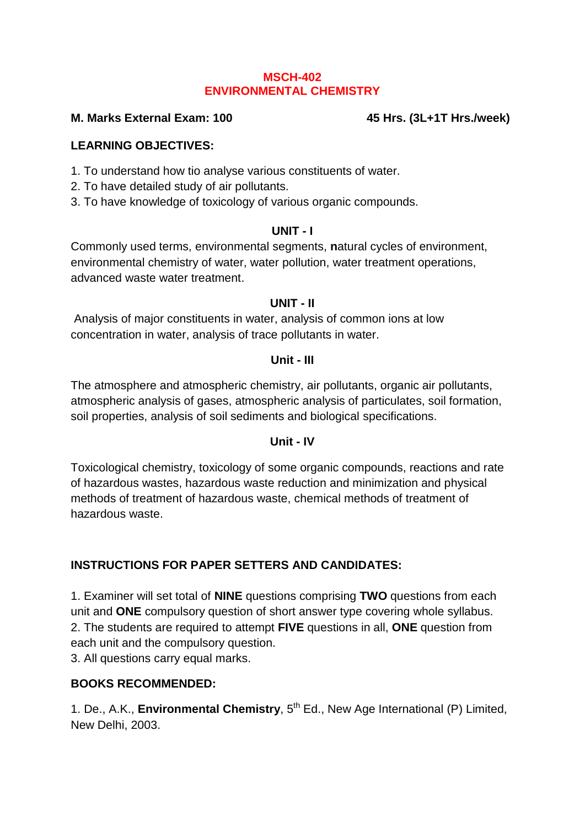#### **MSCH-402 ENVIRONMENTAL CHEMISTRY**

#### **M. Marks External Exam: 100 45 Hrs. (3L+1T Hrs./week)**

#### **LEARNING OBJECTIVES:**

- 1. To understand how tio analyse various constituents of water.
- 2. To have detailed study of air pollutants.
- 3. To have knowledge of toxicology of various organic compounds.

#### **UNIT - I**

Commonly used terms, environmental segments, **n**atural cycles of environment, environmental chemistry of water, water pollution, water treatment operations, advanced waste water treatment.

#### **UNIT - II**

Analysis of major constituents in water, analysis of common ions at low concentration in water, analysis of trace pollutants in water.

#### **Unit - III**

The atmosphere and atmospheric chemistry, air pollutants, organic air pollutants, atmospheric analysis of gases, atmospheric analysis of particulates, soil formation, soil properties, analysis of soil sediments and biological specifications.

#### **Unit - IV**

Toxicological chemistry, toxicology of some organic compounds, reactions and rate of hazardous wastes, hazardous waste reduction and minimization and physical methods of treatment of hazardous waste, chemical methods of treatment of hazardous waste.

## **INSTRUCTIONS FOR PAPER SETTERS AND CANDIDATES:**

1. Examiner will set total of **NINE** questions comprising **TWO** questions from each unit and **ONE** compulsory question of short answer type covering whole syllabus. 2. The students are required to attempt **FIVE** questions in all, **ONE** question from each unit and the compulsory question.

3. All questions carry equal marks.

#### **BOOKS RECOMMENDED:**

1. De., A.K., **Environmental Chemistry**, 5<sup>th</sup> Ed., New Age International (P) Limited, New Delhi, 2003.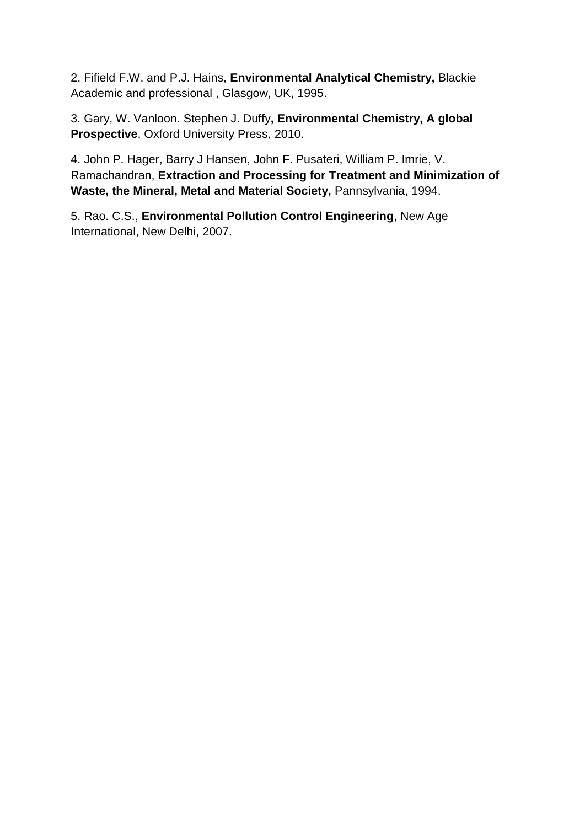2. Fifield F.W. and P.J. Hains, **Environmental Analytical Chemistry,** Blackie Academic and professional , Glasgow, UK, 1995.

3. Gary, W. Vanloon. Stephen J. Duffy**, Environmental Chemistry, A global Prospective**, Oxford University Press, 2010.

4. John P. Hager, Barry J Hansen, John F. Pusateri, William P. Imrie, V. Ramachandran, **Extraction and Processing for Treatment and Minimization of Waste, the Mineral, Metal and Material Society,** Pannsylvania, 1994.

5. Rao. C.S., **Environmental Pollution Control Engineering**, New Age International, New Delhi, 2007.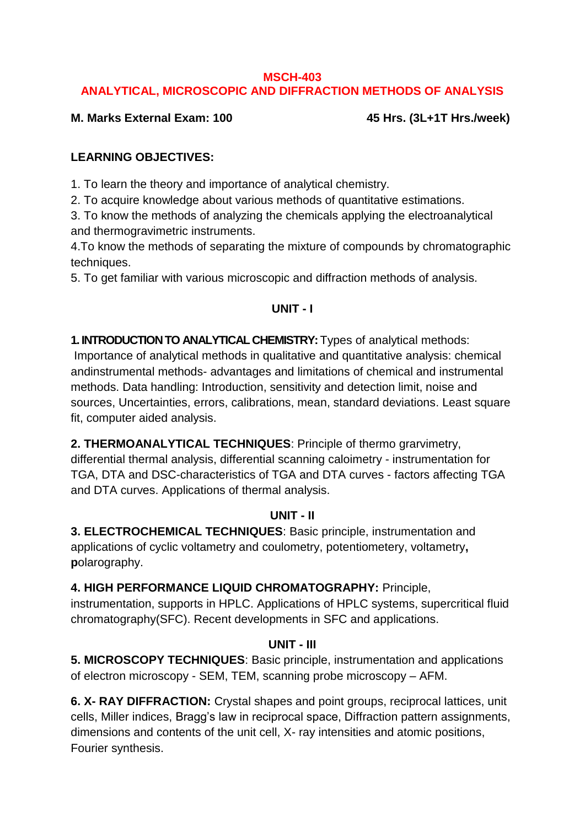#### **MSCH-403 ANALYTICAL, MICROSCOPIC AND DIFFRACTION METHODS OF ANALYSIS**

**M. Marks External Exam: 100 45 Hrs. (3L+1T Hrs./week)**

## **LEARNING OBJECTIVES:**

1. To learn the theory and importance of analytical chemistry.

2. To acquire knowledge about various methods of quantitative estimations.

3. To know the methods of analyzing the chemicals applying the electroanalytical and thermogravimetric instruments.

4.To know the methods of separating the mixture of compounds by chromatographic techniques.

5. To get familiar with various microscopic and diffraction methods of analysis.

## **UNIT - I**

## **1. INTRODUCTION TO ANALYTICAL CHEMISTRY:**Types of analytical methods:

Importance of analytical methods in qualitative and quantitative analysis: chemical andinstrumental methods- advantages and limitations of chemical and instrumental methods. Data handling: Introduction, sensitivity and detection limit, noise and sources, Uncertainties, errors, calibrations, mean, standard deviations. Least square fit, computer aided analysis.

**2. THERMOANALYTICAL TECHNIQUES**: Principle of thermo grarvimetry,

differential thermal analysis, differential scanning caloimetry - instrumentation for TGA, DTA and DSC-characteristics of TGA and DTA curves - factors affecting TGA and DTA curves. Applications of thermal analysis.

## **UNIT - II**

**3. ELECTROCHEMICAL TECHNIQUES**: Basic principle, instrumentation and applications of cyclic voltametry and coulometry, potentiometery, voltametry**, p**olarography.

**4. HIGH PERFORMANCE LIQUID CHROMATOGRAPHY:** Principle,

instrumentation, supports in HPLC. Applications of HPLC systems, supercritical fluid chromatography(SFC). Recent developments in SFC and applications.

## **UNIT - III**

**5. MICROSCOPY TECHNIQUES**: Basic principle, instrumentation and applications of electron microscopy - SEM, TEM, scanning probe microscopy – AFM.

**6. X- RAY DIFFRACTION:** Crystal shapes and point groups, reciprocal lattices, unit cells, Miller indices, Bragg's law in reciprocal space, Diffraction pattern assignments, dimensions and contents of the unit cell, X- ray intensities and atomic positions, Fourier synthesis.